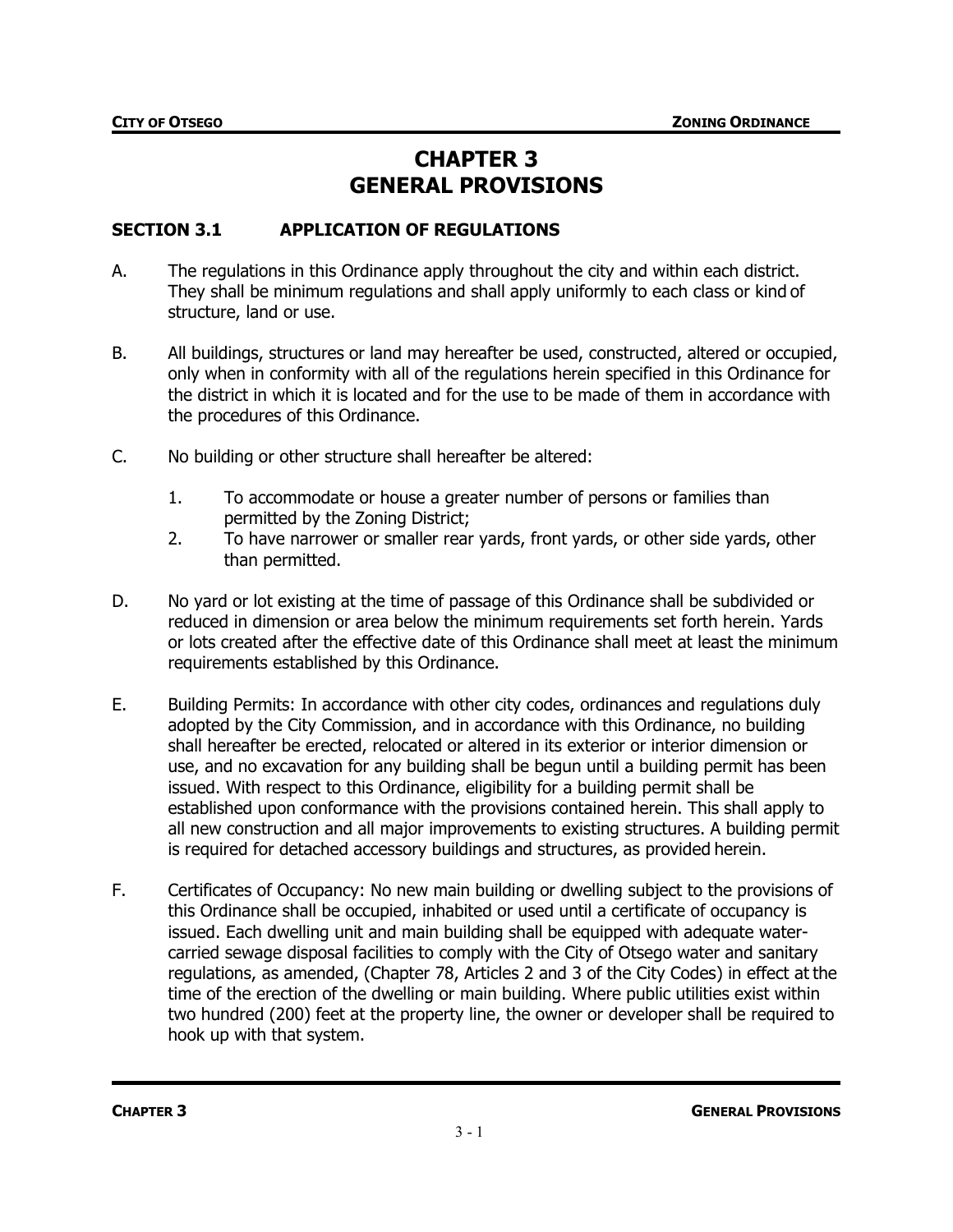# **CHAPTER 3 GENERAL PROVISIONS**

### **SECTION 3.1 APPLICATION OF REGULATIONS**

- A. The regulations in this Ordinance apply throughout the city and within each district. They shall be minimum regulations and shall apply uniformly to each class or kind of structure, land or use.
- B. All buildings, structures or land may hereafter be used, constructed, altered or occupied, only when in conformity with all of the regulations herein specified in this Ordinance for the district in which it is located and for the use to be made of them in accordance with the procedures of this Ordinance.
- C. No building or other structure shall hereafter be altered:
	- 1. To accommodate or house a greater number of persons or families than permitted by the Zoning District;
	- 2. To have narrower or smaller rear yards, front yards, or other side yards, other than permitted.
- D. No yard or lot existing at the time of passage of this Ordinance shall be subdivided or reduced in dimension or area below the minimum requirements set forth herein. Yards or lots created after the effective date of this Ordinance shall meet at least the minimum requirements established by this Ordinance.
- E. Building Permits: In accordance with other city codes, ordinances and regulations duly adopted by the City Commission, and in accordance with this Ordinance, no building shall hereafter be erected, relocated or altered in its exterior or interior dimension or use, and no excavation for any building shall be begun until a building permit has been issued. With respect to this Ordinance, eligibility for a building permit shall be established upon conformance with the provisions contained herein. This shall apply to all new construction and all major improvements to existing structures. A building permit is required for detached accessory buildings and structures, as provided herein.
- F. Certificates of Occupancy: No new main building or dwelling subject to the provisions of this Ordinance shall be occupied, inhabited or used until a certificate of occupancy is issued. Each dwelling unit and main building shall be equipped with adequate watercarried sewage disposal facilities to comply with the City of Otsego water and sanitary regulations, as amended, (Chapter 78, Articles 2 and 3 of the City Codes) in effect at the time of the erection of the dwelling or main building. Where public utilities exist within two hundred (200) feet at the property line, the owner or developer shall be required to hook up with that system.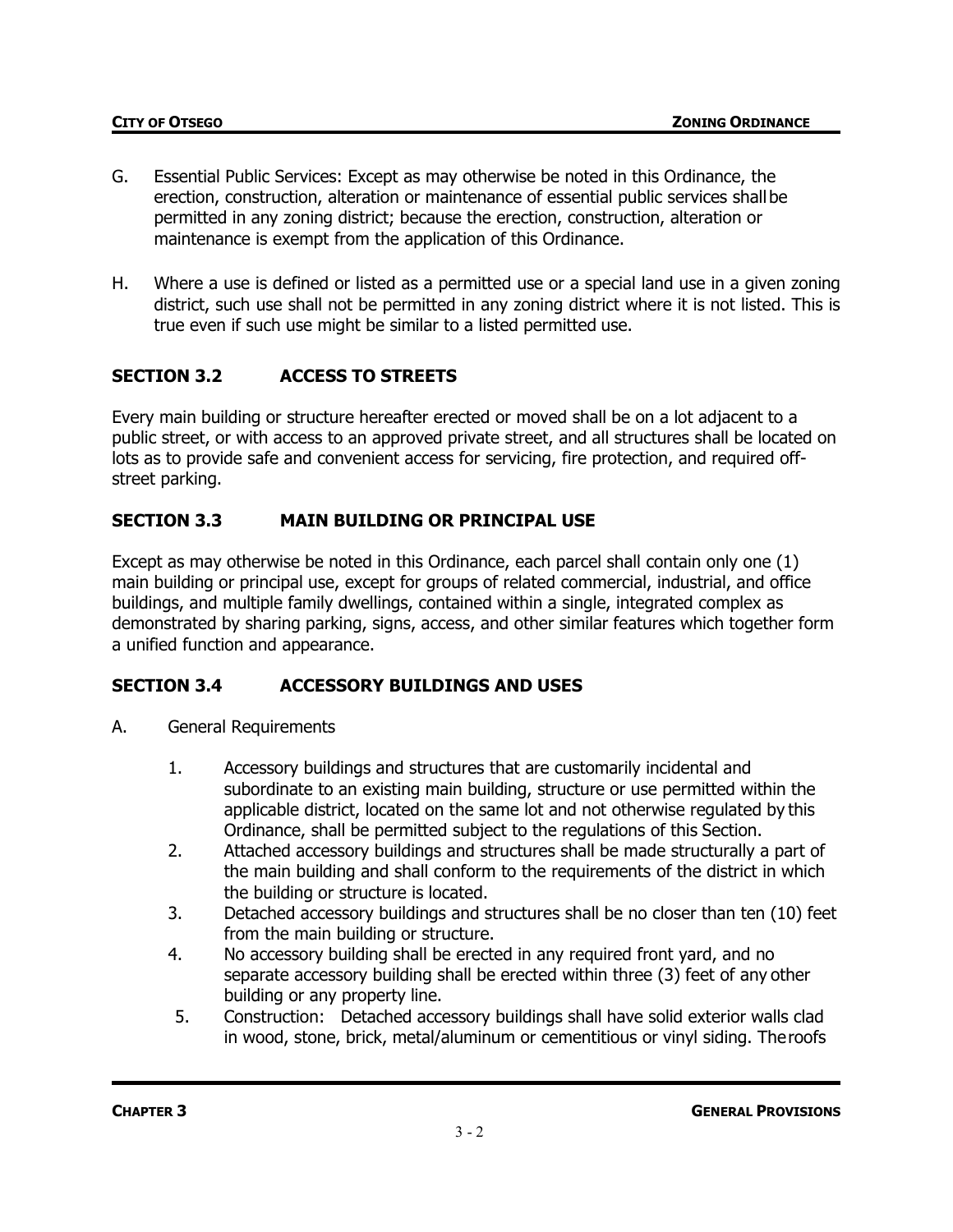- G. Essential Public Services: Except as may otherwise be noted in this Ordinance, the erection, construction, alteration or maintenance of essential public services shallbe permitted in any zoning district; because the erection, construction, alteration or maintenance is exempt from the application of this Ordinance.
- H. Where a use is defined or listed as a permitted use or a special land use in a given zoning district, such use shall not be permitted in any zoning district where it is not listed. This is true even if such use might be similar to a listed permitted use.

# **SECTION 3.2 ACCESS TO STREETS**

Every main building or structure hereafter erected or moved shall be on a lot adjacent to a public street, or with access to an approved private street, and all structures shall be located on lots as to provide safe and convenient access for servicing, fire protection, and required offstreet parking.

### **SECTION 3.3 MAIN BUILDING OR PRINCIPAL USE**

Except as may otherwise be noted in this Ordinance, each parcel shall contain only one (1) main building or principal use, except for groups of related commercial, industrial, and office buildings, and multiple family dwellings, contained within a single, integrated complex as demonstrated by sharing parking, signs, access, and other similar features which together form a unified function and appearance.

### **SECTION 3.4 ACCESSORY BUILDINGS AND USES**

- A. General Requirements
	- 1. Accessory buildings and structures that are customarily incidental and subordinate to an existing main building, structure or use permitted within the applicable district, located on the same lot and not otherwise regulated by this Ordinance, shall be permitted subject to the regulations of this Section.
	- 2. Attached accessory buildings and structures shall be made structurally a part of the main building and shall conform to the requirements of the district in which the building or structure is located.
	- 3. Detached accessory buildings and structures shall be no closer than ten (10) feet from the main building or structure.
	- 4. No accessory building shall be erected in any required front yard, and no separate accessory building shall be erected within three (3) feet of any other building or any property line.
	- 5. Construction: Detached accessory buildings shall have solid exterior walls clad in wood, stone, brick, metal/aluminum or cementitious or vinyl siding. Theroofs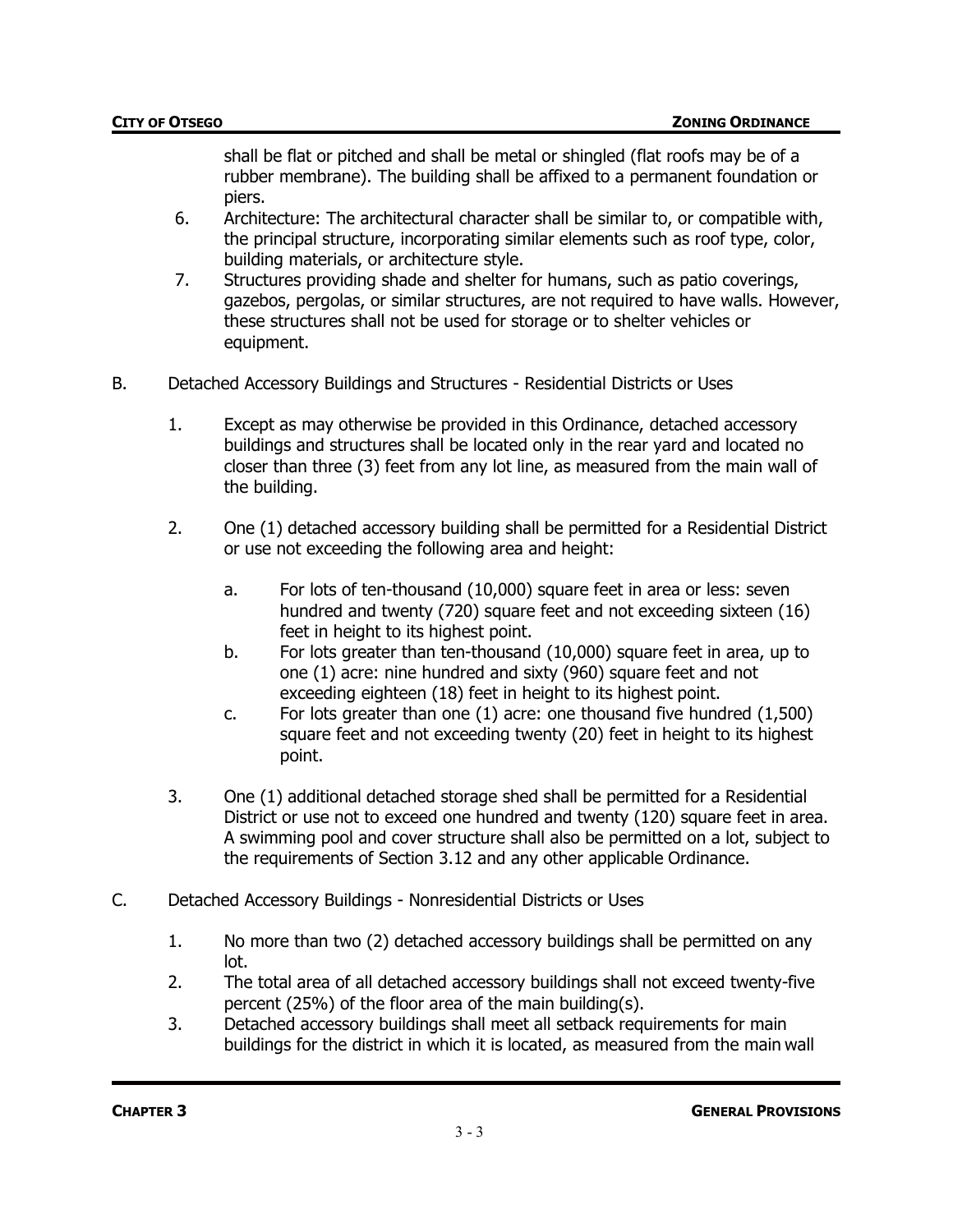shall be flat or pitched and shall be metal or shingled (flat roofs may be of a rubber membrane). The building shall be affixed to a permanent foundation or piers.

- 6. Architecture: The architectural character shall be similar to, or compatible with, the principal structure, incorporating similar elements such as roof type, color, building materials, or architecture style.
- 7. Structures providing shade and shelter for humans, such as patio coverings, gazebos, pergolas, or similar structures, are not required to have walls. However, these structures shall not be used for storage or to shelter vehicles or equipment.
- B. Detached Accessory Buildings and Structures Residential Districts or Uses
	- 1. Except as may otherwise be provided in this Ordinance, detached accessory buildings and structures shall be located only in the rear yard and located no closer than three (3) feet from any lot line, as measured from the main wall of the building.
	- 2. One (1) detached accessory building shall be permitted for a Residential District or use not exceeding the following area and height:
		- a. For lots of ten-thousand (10,000) square feet in area or less: seven hundred and twenty (720) square feet and not exceeding sixteen (16) feet in height to its highest point.
		- b. For lots greater than ten-thousand (10,000) square feet in area, up to one (1) acre: nine hundred and sixty (960) square feet and not exceeding eighteen (18) feet in height to its highest point.
		- c. For lots greater than one (1) acre: one thousand five hundred (1,500) square feet and not exceeding twenty (20) feet in height to its highest point.
	- 3. One (1) additional detached storage shed shall be permitted for a Residential District or use not to exceed one hundred and twenty (120) square feet in area. A swimming pool and cover structure shall also be permitted on a lot, subject to the requirements of Section 3.12 and any other applicable Ordinance.
- C. Detached Accessory Buildings Nonresidential Districts or Uses
	- 1. No more than two (2) detached accessory buildings shall be permitted on any lot.
	- 2. The total area of all detached accessory buildings shall not exceed twenty-five percent (25%) of the floor area of the main building(s).
	- 3. Detached accessory buildings shall meet all setback requirements for main buildings for the district in which it is located, as measured from the main wall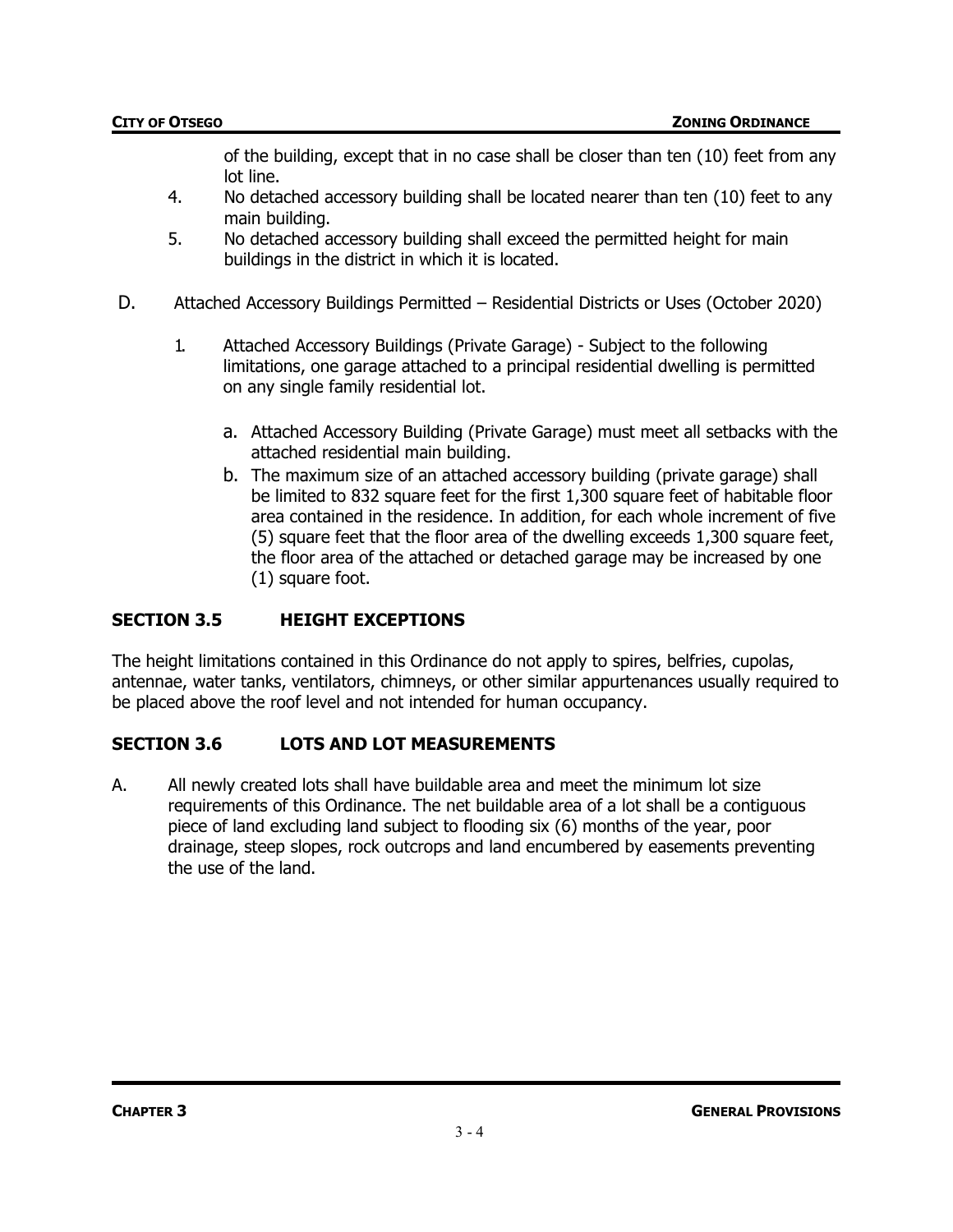of the building, except that in no case shall be closer than ten (10) feet from any lot line.

- 4. No detached accessory building shall be located nearer than ten (10) feet to any main building.
- 5. No detached accessory building shall exceed the permitted height for main buildings in the district in which it is located.
- D. Attached Accessory Buildings Permitted Residential Districts or Uses (October 2020)
	- 1. Attached Accessory Buildings (Private Garage) Subject to the following limitations, one garage attached to a principal residential dwelling is permitted on any single family residential lot.
		- a. Attached Accessory Building (Private Garage) must meet all setbacks with the attached residential main building.
		- b. The maximum size of an attached accessory building (private garage) shall be limited to 832 square feet for the first 1,300 square feet of habitable floor area contained in the residence. In addition, for each whole increment of five (5) square feet that the floor area of the dwelling exceeds 1,300 square feet, the floor area of the attached or detached garage may be increased by one (1) square foot.

### **SECTION 3.5 HEIGHT EXCEPTIONS**

The height limitations contained in this Ordinance do not apply to spires, belfries, cupolas, antennae, water tanks, ventilators, chimneys, or other similar appurtenances usually required to be placed above the roof level and not intended for human occupancy.

### **SECTION 3.6 LOTS AND LOT MEASUREMENTS**

A. All newly created lots shall have buildable area and meet the minimum lot size requirements of this Ordinance. The net buildable area of a lot shall be a contiguous piece of land excluding land subject to flooding six (6) months of the year, poor drainage, steep slopes, rock outcrops and land encumbered by easements preventing the use of the land.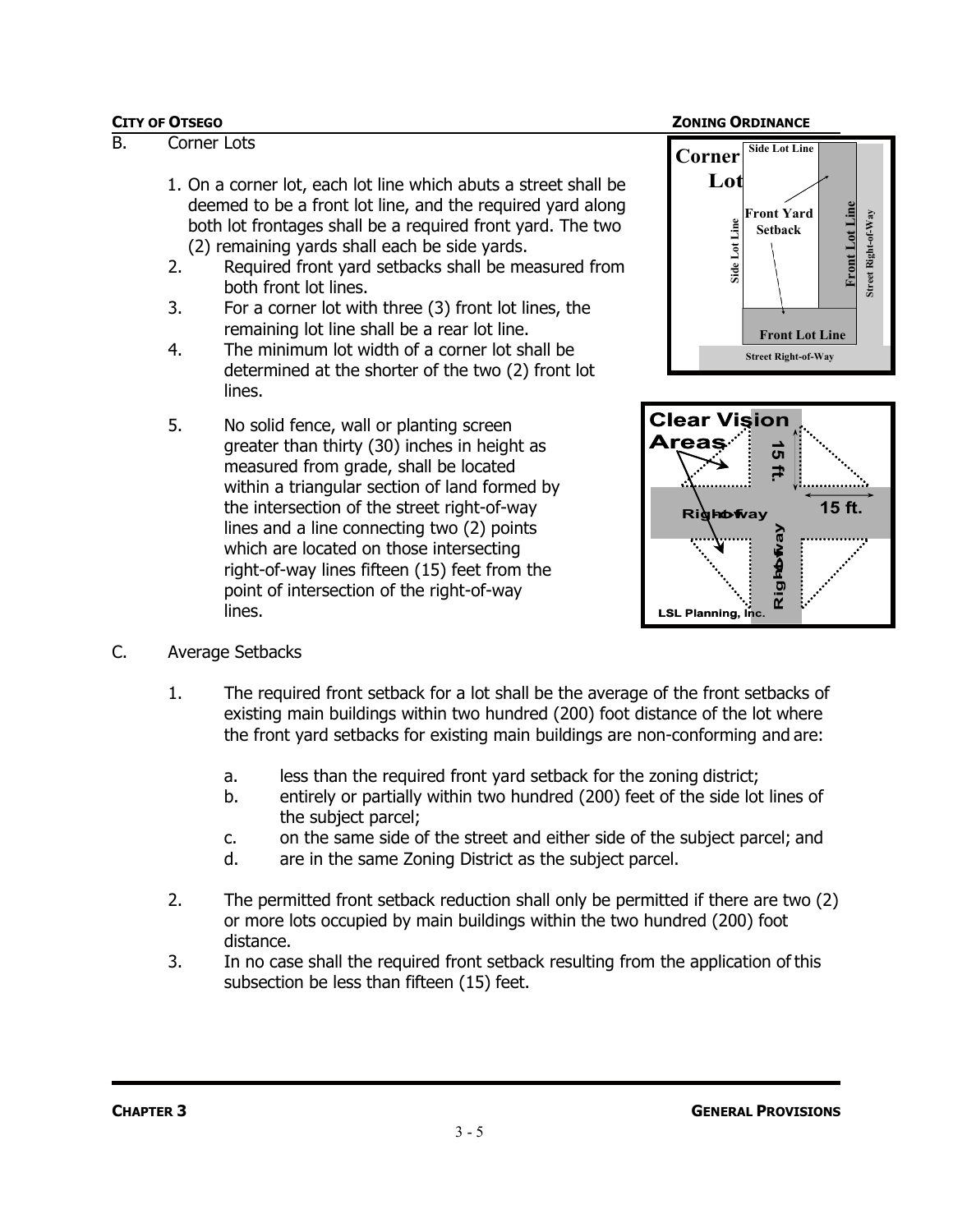### **CITY OF OTSEGO ZONING ORDINANCE**

### B. Corner Lots

- 1. On a corner lot, each lot line which abuts a street shall be deemed to be a front lot line, and the required yard along both lot frontages shall be a required front yard. The two (2) remaining yards shall each be side yards.
- 2. Required front yard setbacks shall be measured from both front lot lines.
- 3. For a corner lot with three (3) front lot lines, the remaining lot line shall be a rear lot line.
- 4. The minimum lot width of a corner lot shall be determined at the shorter of the two (2) front lot lines.
- 5. No solid fence, wall or planting screen greater than thirty (30) inches in height as measured from grade, shall be located within a triangular section of land formed by the intersection of the street right-of-way lines and a line connecting two (2) points which are located on those intersecting right-of-way lines fifteen (15) feet from the point of intersection of the right-of-way lines.





- C. Average Setbacks
	- 1. The required front setback for a lot shall be the average of the front setbacks of existing main buildings within two hundred (200) foot distance of the lot where the front yard setbacks for existing main buildings are non-conforming and are:
		- a. less than the required front yard setback for the zoning district;
		- b. entirely or partially within two hundred (200) feet of the side lot lines of the subject parcel;
		- c. on the same side of the street and either side of the subject parcel; and
		- d. are in the same Zoning District as the subject parcel.
	- 2. The permitted front setback reduction shall only be permitted if there are two (2) or more lots occupied by main buildings within the two hundred (200) foot distance.
	- 3. In no case shall the required front setback resulting from the application of this subsection be less than fifteen (15) feet.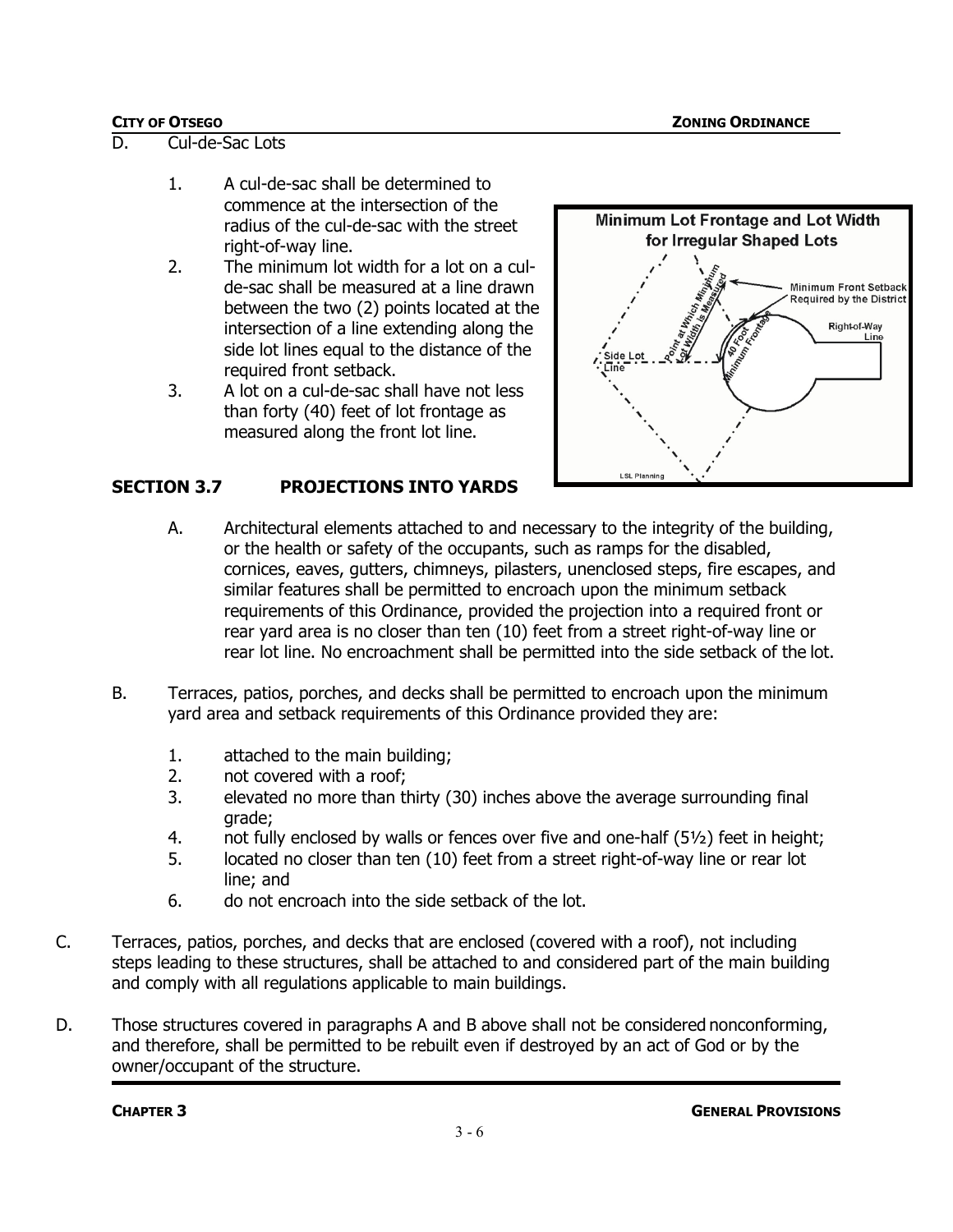- D. Cul-de-Sac Lots
	- 1. A cul-de-sac shall be determined to commence at the intersection of the radius of the cul-de-sac with the street right-of-way line.
	- 2. The minimum lot width for a lot on a culde-sac shall be measured at a line drawn between the two (2) points located at the intersection of a line extending along the side lot lines equal to the distance of the required front setback.
	- 3. A lot on a cul-de-sac shall have not less than forty (40) feet of lot frontage as measured along the front lot line.



# **SECTION 3.7 PROJECTIONS INTO YARDS**

- A. Architectural elements attached to and necessary to the integrity of the building, or the health or safety of the occupants, such as ramps for the disabled, cornices, eaves, gutters, chimneys, pilasters, unenclosed steps, fire escapes, and similar features shall be permitted to encroach upon the minimum setback requirements of this Ordinance, provided the projection into a required front or rear yard area is no closer than ten (10) feet from a street right-of-way line or rear lot line. No encroachment shall be permitted into the side setback of the lot.
- B. Terraces, patios, porches, and decks shall be permitted to encroach upon the minimum yard area and setback requirements of this Ordinance provided they are:
	- 1. attached to the main building;
	- 2. not covered with a roof;
	- 3. elevated no more than thirty (30) inches above the average surrounding final grade;
	- 4. not fully enclosed by walls or fences over five and one-half  $(5\frac{1}{2})$  feet in height;
	- 5. located no closer than ten (10) feet from a street right-of-way line or rear lot line; and
	- 6. do not encroach into the side setback of the lot.
- C. Terraces, patios, porches, and decks that are enclosed (covered with a roof), not including steps leading to these structures, shall be attached to and considered part of the main building and comply with all regulations applicable to main buildings.
- D. Those structures covered in paragraphs A and B above shall not be considered nonconforming, and therefore, shall be permitted to be rebuilt even if destroyed by an act of God or by the owner/occupant of the structure.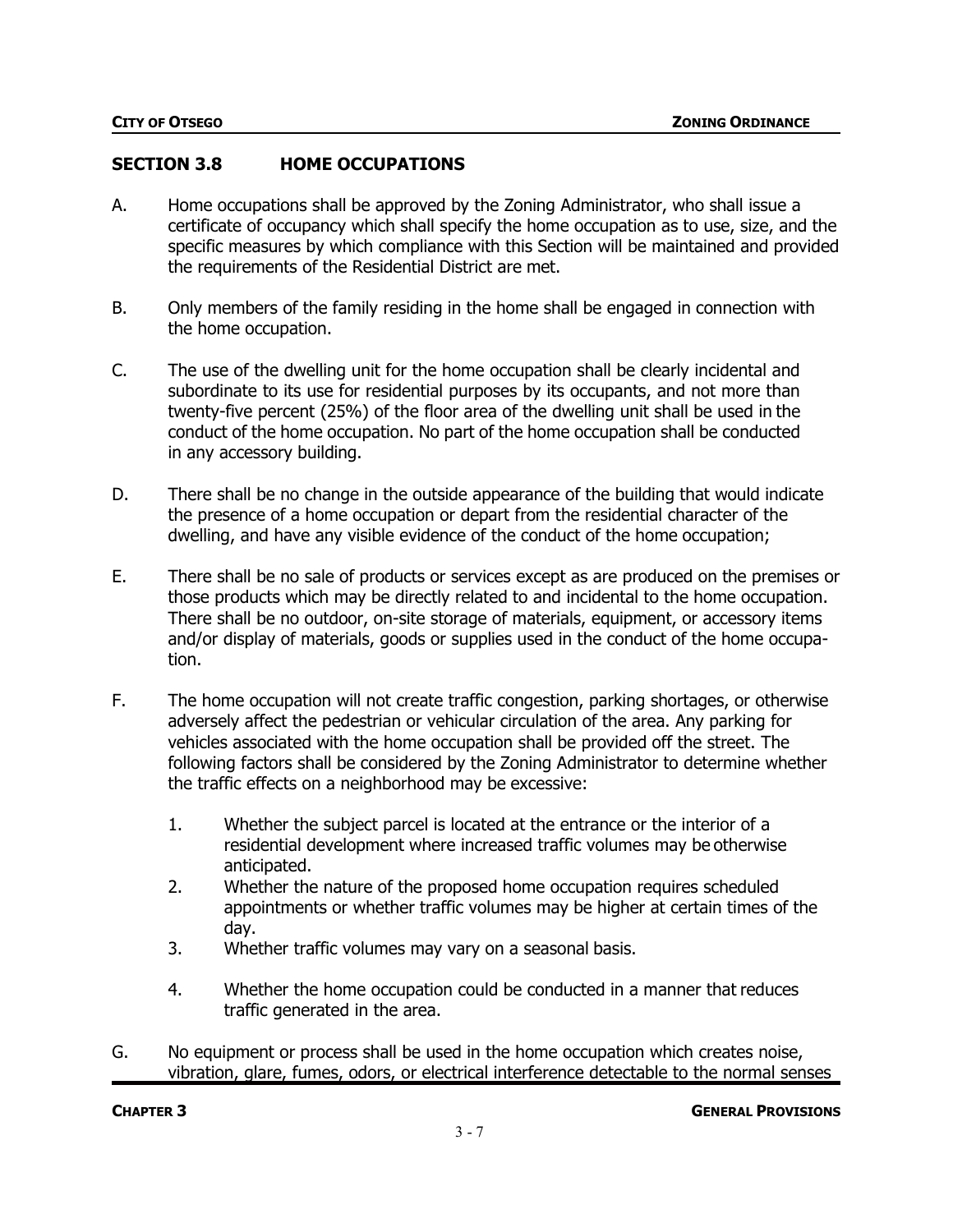### **SECTION 3.8 HOME OCCUPATIONS**

- A. Home occupations shall be approved by the Zoning Administrator, who shall issue a certificate of occupancy which shall specify the home occupation as to use, size, and the specific measures by which compliance with this Section will be maintained and provided the requirements of the Residential District are met.
- B. Only members of the family residing in the home shall be engaged in connection with the home occupation.
- C. The use of the dwelling unit for the home occupation shall be clearly incidental and subordinate to its use for residential purposes by its occupants, and not more than twenty-five percent (25%) of the floor area of the dwelling unit shall be used in the conduct of the home occupation. No part of the home occupation shall be conducted in any accessory building.
- D. There shall be no change in the outside appearance of the building that would indicate the presence of a home occupation or depart from the residential character of the dwelling, and have any visible evidence of the conduct of the home occupation;
- E. There shall be no sale of products or services except as are produced on the premises or those products which may be directly related to and incidental to the home occupation. There shall be no outdoor, on-site storage of materials, equipment, or accessory items and/or display of materials, goods or supplies used in the conduct of the home occupation.
- F. The home occupation will not create traffic congestion, parking shortages, or otherwise adversely affect the pedestrian or vehicular circulation of the area. Any parking for vehicles associated with the home occupation shall be provided off the street. The following factors shall be considered by the Zoning Administrator to determine whether the traffic effects on a neighborhood may be excessive:
	- 1. Whether the subject parcel is located at the entrance or the interior of a residential development where increased traffic volumes may be otherwise anticipated.
	- 2. Whether the nature of the proposed home occupation requires scheduled appointments or whether traffic volumes may be higher at certain times of the day.
	- 3. Whether traffic volumes may vary on a seasonal basis.
	- 4. Whether the home occupation could be conducted in a manner that reduces traffic generated in the area.
- G. No equipment or process shall be used in the home occupation which creates noise, vibration, glare, fumes, odors, or electrical interference detectable to the normal senses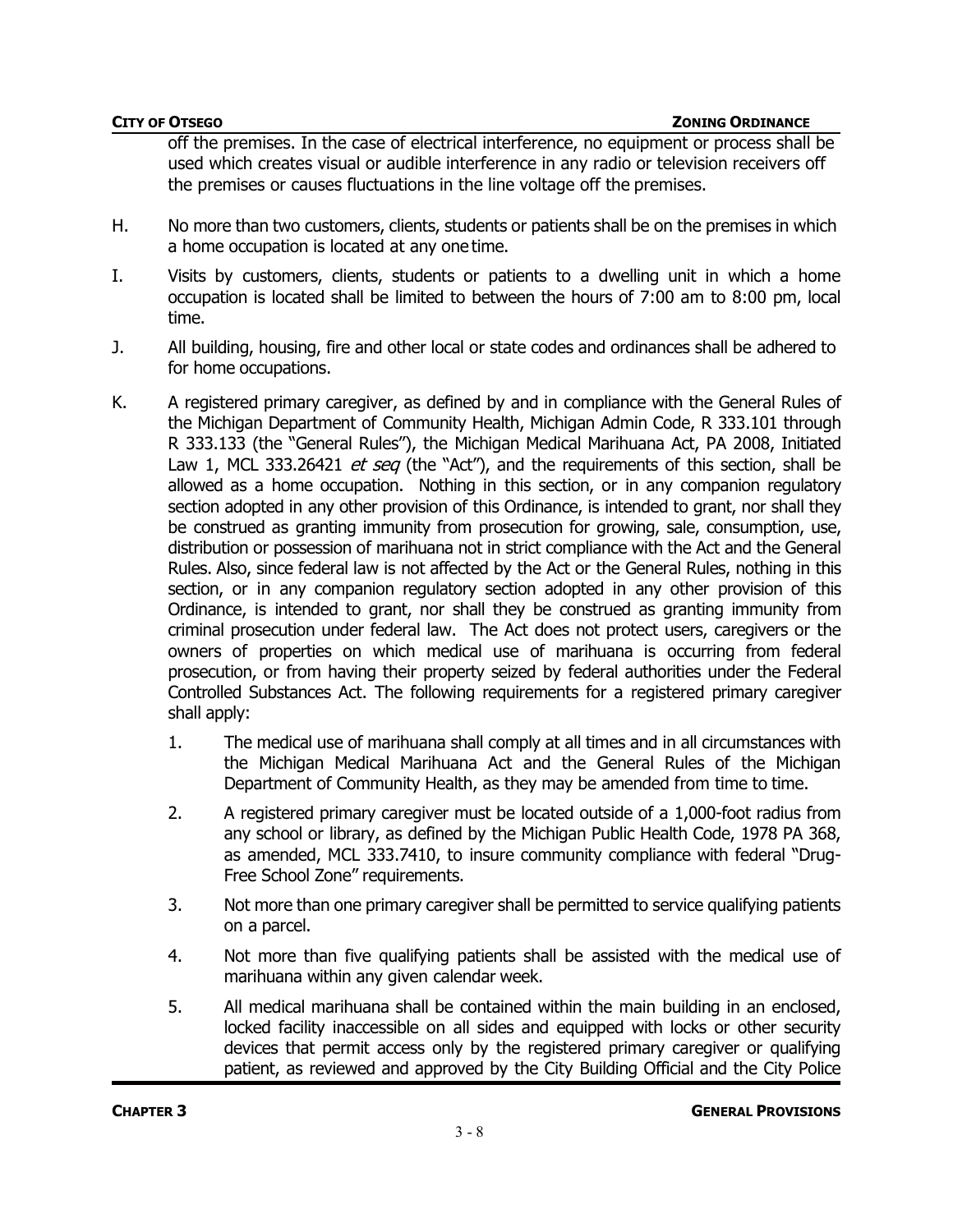off the premises. In the case of electrical interference, no equipment or process shall be used which creates visual or audible interference in any radio or television receivers off the premises or causes fluctuations in the line voltage off the premises.

- H. No more than two customers, clients, students or patients shall be on the premises in which a home occupation is located at any one time.
- I. Visits by customers, clients, students or patients to a dwelling unit in which a home occupation is located shall be limited to between the hours of 7:00 am to 8:00 pm, local time.
- J. All building, housing, fire and other local or state codes and ordinances shall be adhered to for home occupations.
- K. A registered primary caregiver, as defined by and in compliance with the General Rules of the Michigan Department of Community Health, Michigan Admin Code, R 333.101 through R 333.133 (the "General Rules"), the Michigan Medical Marihuana Act, PA 2008, Initiated Law 1, MCL 333.26421 *et seq* (the "Act"), and the requirements of this section, shall be allowed as a home occupation. Nothing in this section, or in any companion regulatory section adopted in any other provision of this Ordinance, is intended to grant, nor shall they be construed as granting immunity from prosecution for growing, sale, consumption, use, distribution or possession of marihuana not in strict compliance with the Act and the General Rules. Also, since federal law is not affected by the Act or the General Rules, nothing in this section, or in any companion regulatory section adopted in any other provision of this Ordinance, is intended to grant, nor shall they be construed as granting immunity from criminal prosecution under federal law. The Act does not protect users, caregivers or the owners of properties on which medical use of marihuana is occurring from federal prosecution, or from having their property seized by federal authorities under the Federal Controlled Substances Act. The following requirements for a registered primary caregiver shall apply:
	- 1. The medical use of marihuana shall comply at all times and in all circumstances with the Michigan Medical Marihuana Act and the General Rules of the Michigan Department of Community Health, as they may be amended from time to time.
	- 2. A registered primary caregiver must be located outside of a 1,000-foot radius from any school or library, as defined by the Michigan Public Health Code, 1978 PA 368, as amended, MCL 333.7410, to insure community compliance with federal "Drug-Free School Zone" requirements.
	- 3. Not more than one primary caregiver shall be permitted to service qualifying patients on a parcel.
	- 4. Not more than five qualifying patients shall be assisted with the medical use of marihuana within any given calendar week.
	- 5. All medical marihuana shall be contained within the main building in an enclosed, locked facility inaccessible on all sides and equipped with locks or other security devices that permit access only by the registered primary caregiver or qualifying patient, as reviewed and approved by the City Building Official and the City Police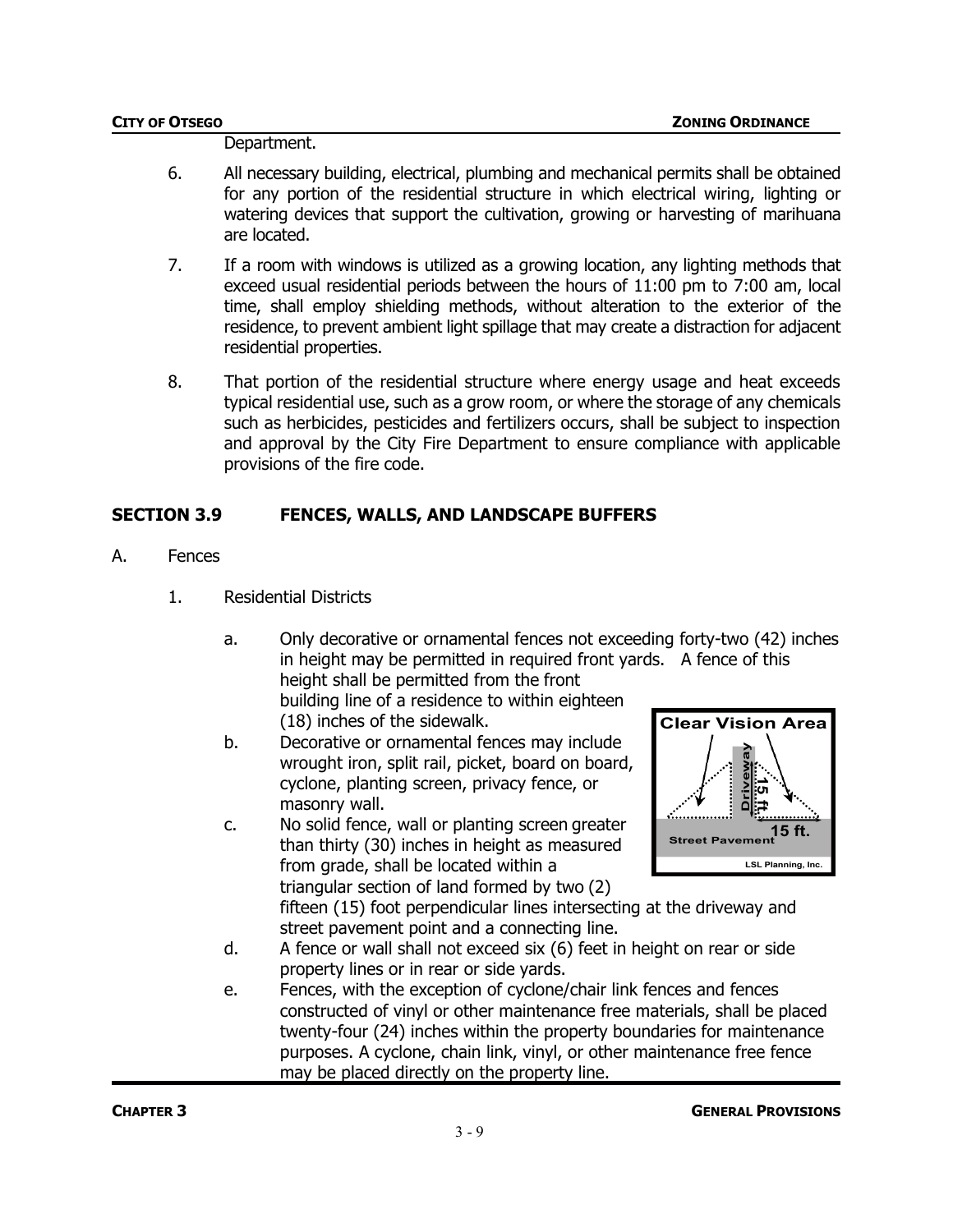### Department.

- 6. All necessary building, electrical, plumbing and mechanical permits shall be obtained for any portion of the residential structure in which electrical wiring, lighting or watering devices that support the cultivation, growing or harvesting of marihuana are located.
- 7. If a room with windows is utilized as a growing location, any lighting methods that exceed usual residential periods between the hours of 11:00 pm to 7:00 am, local time, shall employ shielding methods, without alteration to the exterior of the residence, to prevent ambient light spillage that may create a distraction for adjacent residential properties.
- 8. That portion of the residential structure where energy usage and heat exceeds typical residential use, such as a grow room, or where the storage of any chemicals such as herbicides, pesticides and fertilizers occurs, shall be subject to inspection and approval by the City Fire Department to ensure compliance with applicable provisions of the fire code.

### **SECTION 3.9 FENCES, WALLS, AND LANDSCAPE BUFFERS**

- A. Fences
	- 1. Residential Districts
		- a. Only decorative or ornamental fences not exceeding forty-two (42) inches in height may be permitted in required front yards. A fence of this height shall be permitted from the front building line of a residence to within eighteen

(18) inches of the sidewalk. b. Decorative or ornamental fences may include wrought iron, split rail, picket, board on board, cyclone, planting screen, privacy fence, or masonry wall.

c. No solid fence, wall or planting screen greater than thirty (30) inches in height as measured from grade, shall be located within a triangular section of land formed by two (2)



fifteen (15) foot perpendicular lines intersecting at the driveway and street pavement point and a connecting line.

- d. A fence or wall shall not exceed six (6) feet in height on rear or side property lines or in rear or side yards.
- e. Fences, with the exception of cyclone/chair link fences and fences constructed of vinyl or other maintenance free materials, shall be placed twenty-four (24) inches within the property boundaries for maintenance purposes. A cyclone, chain link, vinyl, or other maintenance free fence may be placed directly on the property line.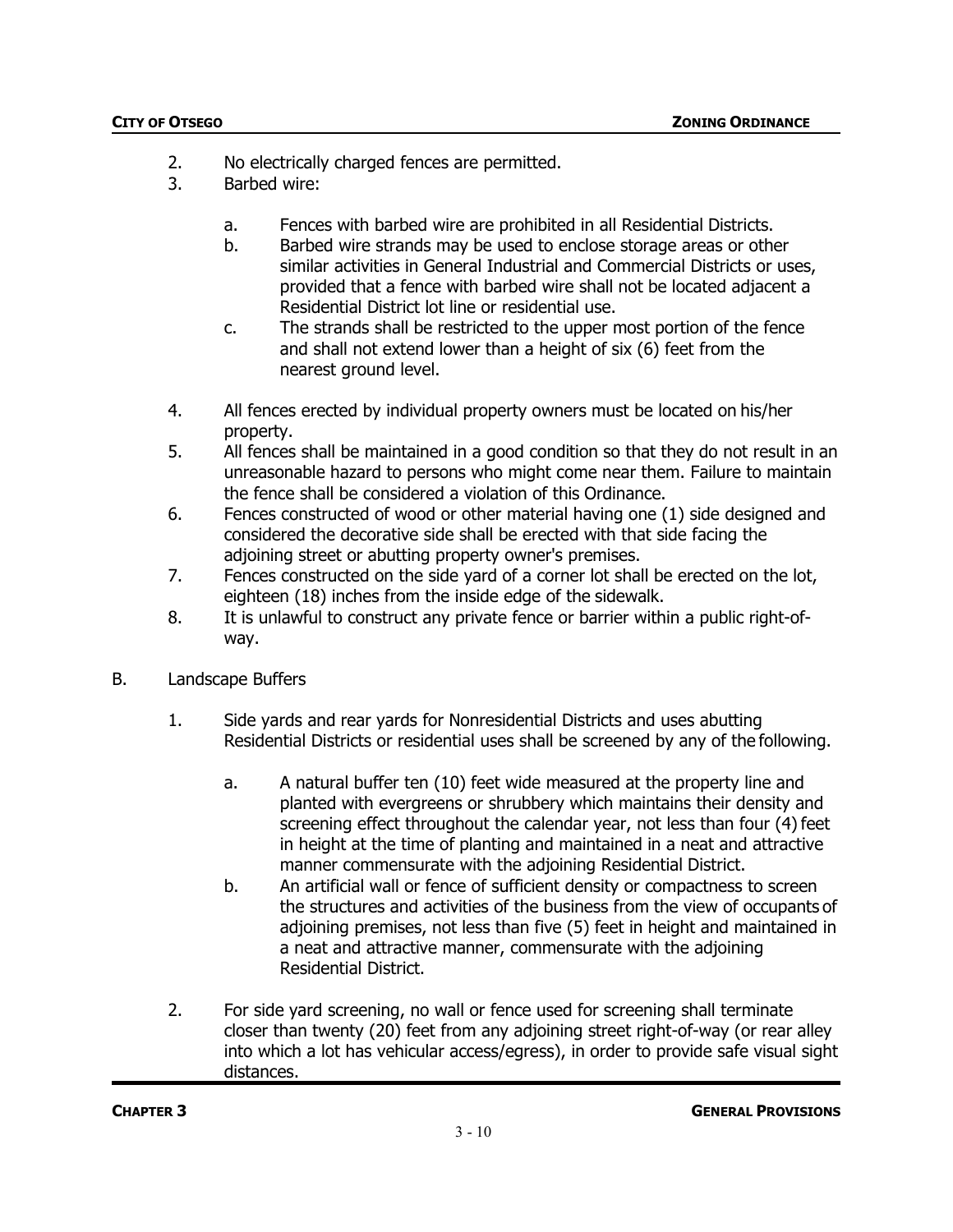- 2. No electrically charged fences are permitted.
- 3. Barbed wire:
	- a. Fences with barbed wire are prohibited in all Residential Districts.
	- b. Barbed wire strands may be used to enclose storage areas or other similar activities in General Industrial and Commercial Districts or uses, provided that a fence with barbed wire shall not be located adjacent a Residential District lot line or residential use.
	- c. The strands shall be restricted to the upper most portion of the fence and shall not extend lower than a height of six (6) feet from the nearest ground level.
- 4. All fences erected by individual property owners must be located on his/her property.
- 5. All fences shall be maintained in a good condition so that they do not result in an unreasonable hazard to persons who might come near them. Failure to maintain the fence shall be considered a violation of this Ordinance.
- 6. Fences constructed of wood or other material having one (1) side designed and considered the decorative side shall be erected with that side facing the adjoining street or abutting property owner's premises.
- 7. Fences constructed on the side yard of a corner lot shall be erected on the lot, eighteen (18) inches from the inside edge of the sidewalk.
- 8. It is unlawful to construct any private fence or barrier within a public right-ofway.
- B. Landscape Buffers
	- 1. Side yards and rear yards for Nonresidential Districts and uses abutting Residential Districts or residential uses shall be screened by any of the following.
		- a. A natural buffer ten (10) feet wide measured at the property line and planted with evergreens or shrubbery which maintains their density and screening effect throughout the calendar year, not less than four (4) feet in height at the time of planting and maintained in a neat and attractive manner commensurate with the adjoining Residential District.
		- b. An artificial wall or fence of sufficient density or compactness to screen the structures and activities of the business from the view of occupants of adjoining premises, not less than five (5) feet in height and maintained in a neat and attractive manner, commensurate with the adjoining Residential District.
	- 2. For side yard screening, no wall or fence used for screening shall terminate closer than twenty (20) feet from any adjoining street right-of-way (or rear alley into which a lot has vehicular access/egress), in order to provide safe visual sight distances.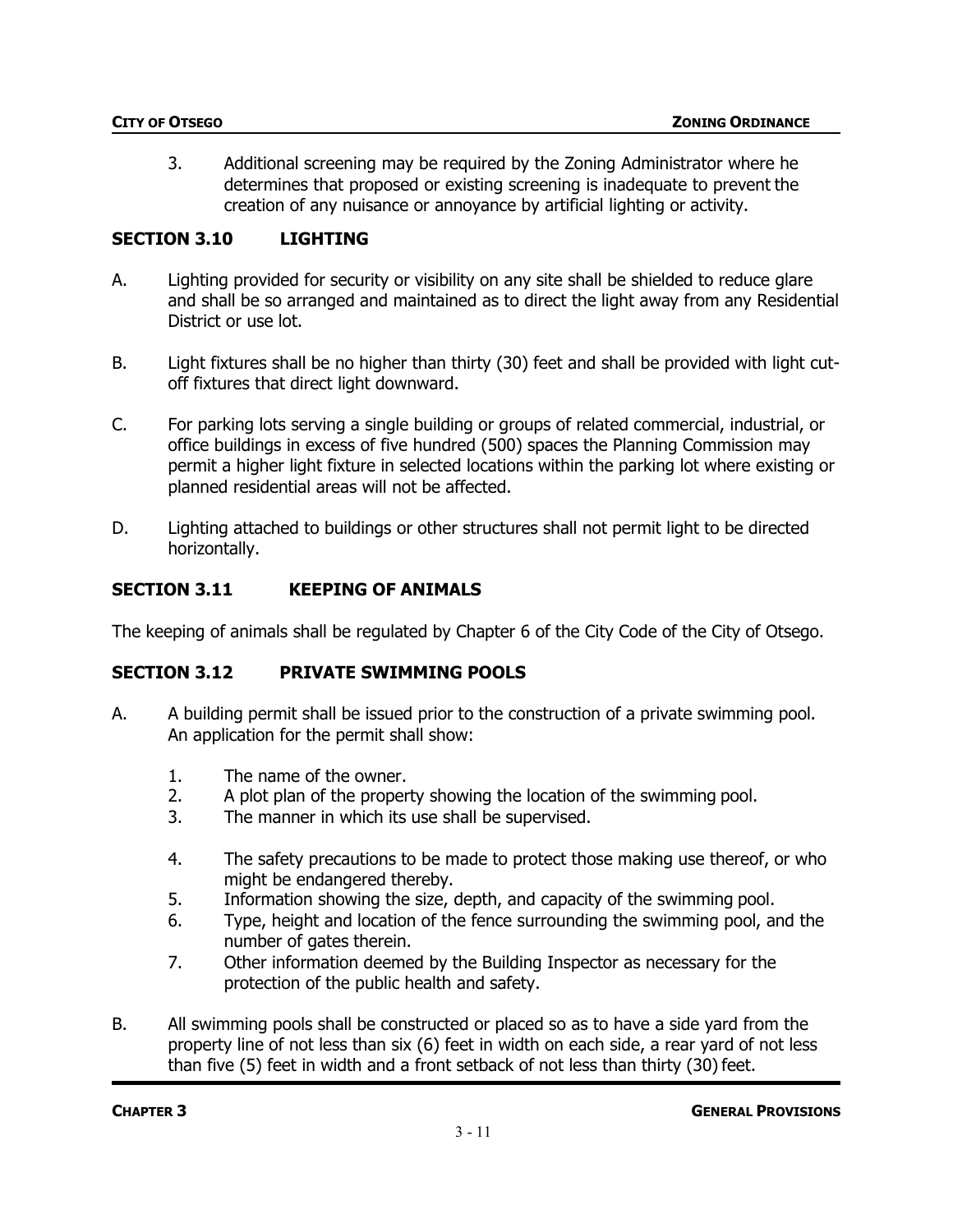3. Additional screening may be required by the Zoning Administrator where he determines that proposed or existing screening is inadequate to prevent the creation of any nuisance or annoyance by artificial lighting or activity.

### **SECTION 3.10 LIGHTING**

- A. Lighting provided for security or visibility on any site shall be shielded to reduce glare and shall be so arranged and maintained as to direct the light away from any Residential District or use lot.
- B. Light fixtures shall be no higher than thirty (30) feet and shall be provided with light cutoff fixtures that direct light downward.
- C. For parking lots serving a single building or groups of related commercial, industrial, or office buildings in excess of five hundred (500) spaces the Planning Commission may permit a higher light fixture in selected locations within the parking lot where existing or planned residential areas will not be affected.
- D. Lighting attached to buildings or other structures shall not permit light to be directed horizontally.

### **SECTION 3.11 KEEPING OF ANIMALS**

The keeping of animals shall be regulated by Chapter 6 of the City Code of the City of Otsego.

# **SECTION 3.12 PRIVATE SWIMMING POOLS**

- A. A building permit shall be issued prior to the construction of a private swimming pool. An application for the permit shall show:
	- 1. The name of the owner.
	- 2. A plot plan of the property showing the location of the swimming pool.
	- 3. The manner in which its use shall be supervised.
	- 4. The safety precautions to be made to protect those making use thereof, or who might be endangered thereby.
	- 5. Information showing the size, depth, and capacity of the swimming pool.
	- 6. Type, height and location of the fence surrounding the swimming pool, and the number of gates therein.
	- 7. Other information deemed by the Building Inspector as necessary for the protection of the public health and safety.
- B. All swimming pools shall be constructed or placed so as to have a side yard from the property line of not less than six (6) feet in width on each side, a rear yard of not less than five (5) feet in width and a front setback of not less than thirty (30) feet.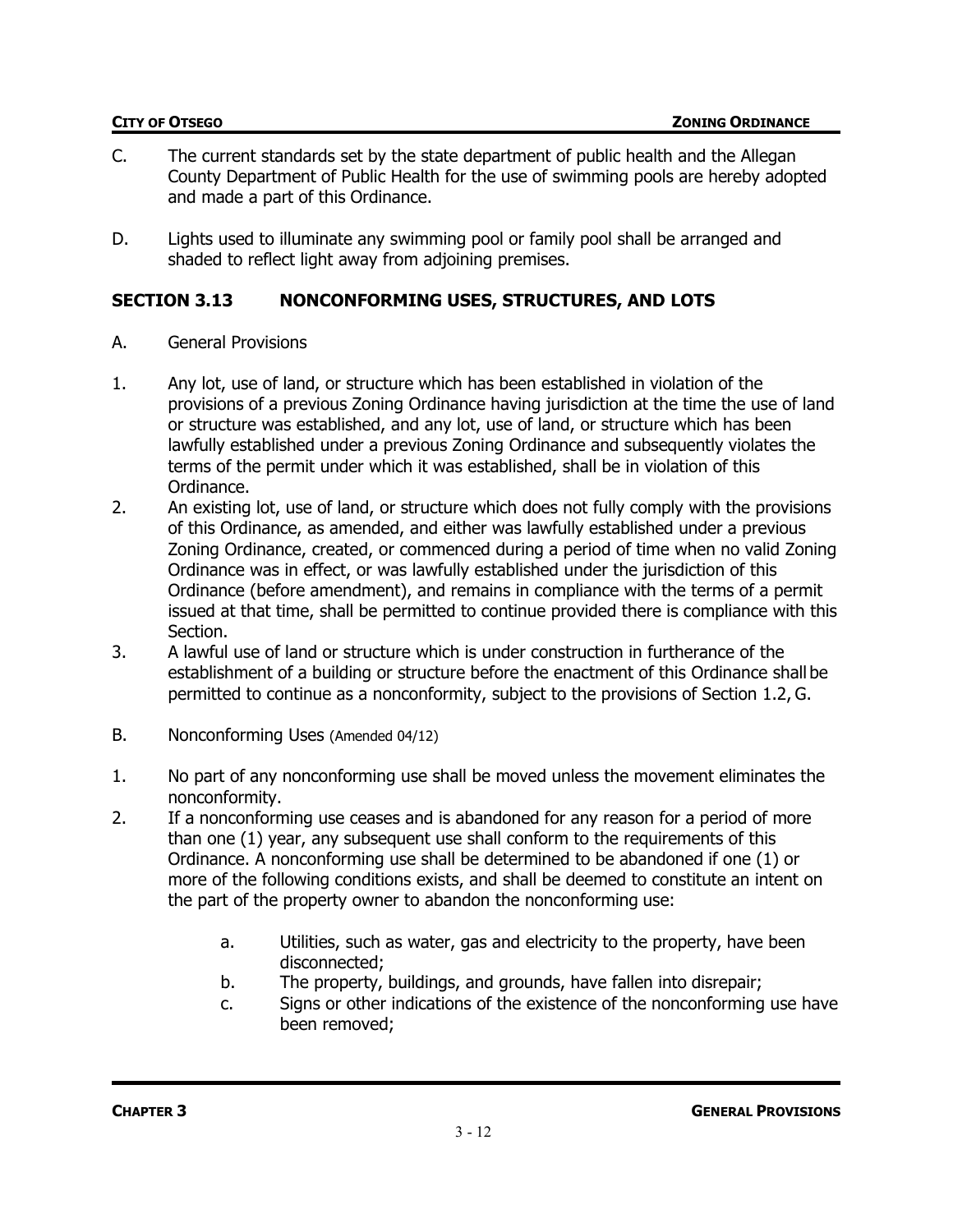- C. The current standards set by the state department of public health and the Allegan County Department of Public Health for the use of swimming pools are hereby adopted and made a part of this Ordinance.
- D. Lights used to illuminate any swimming pool or family pool shall be arranged and shaded to reflect light away from adjoining premises.

### **SECTION 3.13 NONCONFORMING USES, STRUCTURES, AND LOTS**

- A. General Provisions
- 1. Any lot, use of land, or structure which has been established in violation of the provisions of a previous Zoning Ordinance having jurisdiction at the time the use of land or structure was established, and any lot, use of land, or structure which has been lawfully established under a previous Zoning Ordinance and subsequently violates the terms of the permit under which it was established, shall be in violation of this Ordinance.
- 2. An existing lot, use of land, or structure which does not fully comply with the provisions of this Ordinance, as amended, and either was lawfully established under a previous Zoning Ordinance, created, or commenced during a period of time when no valid Zoning Ordinance was in effect, or was lawfully established under the jurisdiction of this Ordinance (before amendment), and remains in compliance with the terms of a permit issued at that time, shall be permitted to continue provided there is compliance with this Section.
- 3. A lawful use of land or structure which is under construction in furtherance of the establishment of a building or structure before the enactment of this Ordinance shall be permitted to continue as a nonconformity, subject to the provisions of Section 1.2, G.
- B. Nonconforming Uses (Amended 04/12)
- 1. No part of any nonconforming use shall be moved unless the movement eliminates the nonconformity.
- 2. If a nonconforming use ceases and is abandoned for any reason for a period of more than one (1) year, any subsequent use shall conform to the requirements of this Ordinance. A nonconforming use shall be determined to be abandoned if one (1) or more of the following conditions exists, and shall be deemed to constitute an intent on the part of the property owner to abandon the nonconforming use:
	- a. Utilities, such as water, gas and electricity to the property, have been disconnected;
	- b. The property, buildings, and grounds, have fallen into disrepair;
	- c. Signs or other indications of the existence of the nonconforming use have been removed;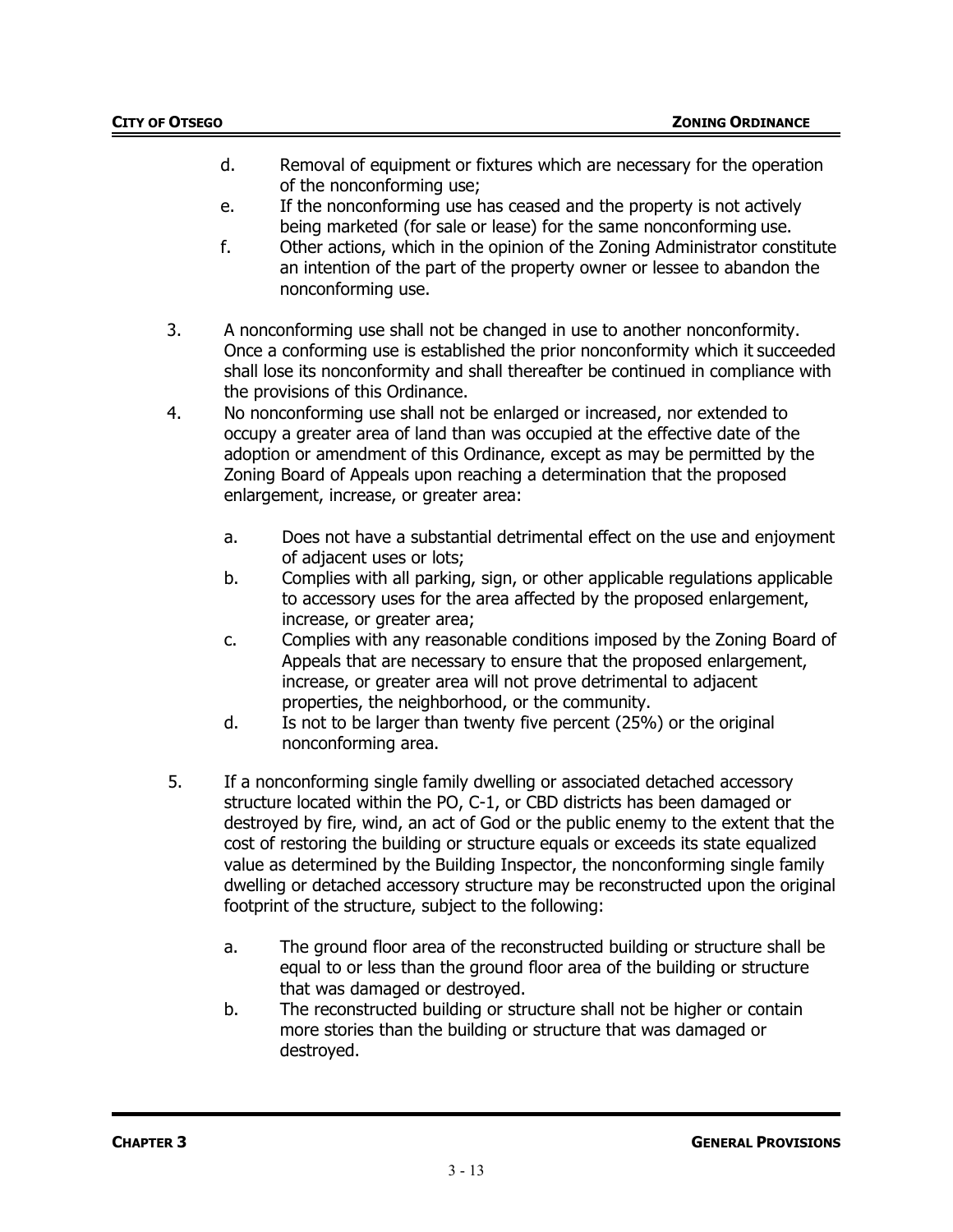- d. Removal of equipment or fixtures which are necessary for the operation of the nonconforming use;
- e. If the nonconforming use has ceased and the property is not actively being marketed (for sale or lease) for the same nonconforming use.
- f. Other actions, which in the opinion of the Zoning Administrator constitute an intention of the part of the property owner or lessee to abandon the nonconforming use.
- 3. A nonconforming use shall not be changed in use to another nonconformity. Once a conforming use is established the prior nonconformity which it succeeded shall lose its nonconformity and shall thereafter be continued in compliance with the provisions of this Ordinance.
- 4. No nonconforming use shall not be enlarged or increased, nor extended to occupy a greater area of land than was occupied at the effective date of the adoption or amendment of this Ordinance, except as may be permitted by the Zoning Board of Appeals upon reaching a determination that the proposed enlargement, increase, or greater area:
	- a. Does not have a substantial detrimental effect on the use and enjoyment of adjacent uses or lots;
	- b. Complies with all parking, sign, or other applicable regulations applicable to accessory uses for the area affected by the proposed enlargement, increase, or greater area;
	- c. Complies with any reasonable conditions imposed by the Zoning Board of Appeals that are necessary to ensure that the proposed enlargement, increase, or greater area will not prove detrimental to adjacent properties, the neighborhood, or the community.
	- d. Is not to be larger than twenty five percent (25%) or the original nonconforming area.
- 5. If a nonconforming single family dwelling or associated detached accessory structure located within the PO, C-1, or CBD districts has been damaged or destroyed by fire, wind, an act of God or the public enemy to the extent that the cost of restoring the building or structure equals or exceeds its state equalized value as determined by the Building Inspector, the nonconforming single family dwelling or detached accessory structure may be reconstructed upon the original footprint of the structure, subject to the following:
	- a. The ground floor area of the reconstructed building or structure shall be equal to or less than the ground floor area of the building or structure that was damaged or destroyed.
	- b. The reconstructed building or structure shall not be higher or contain more stories than the building or structure that was damaged or destroyed.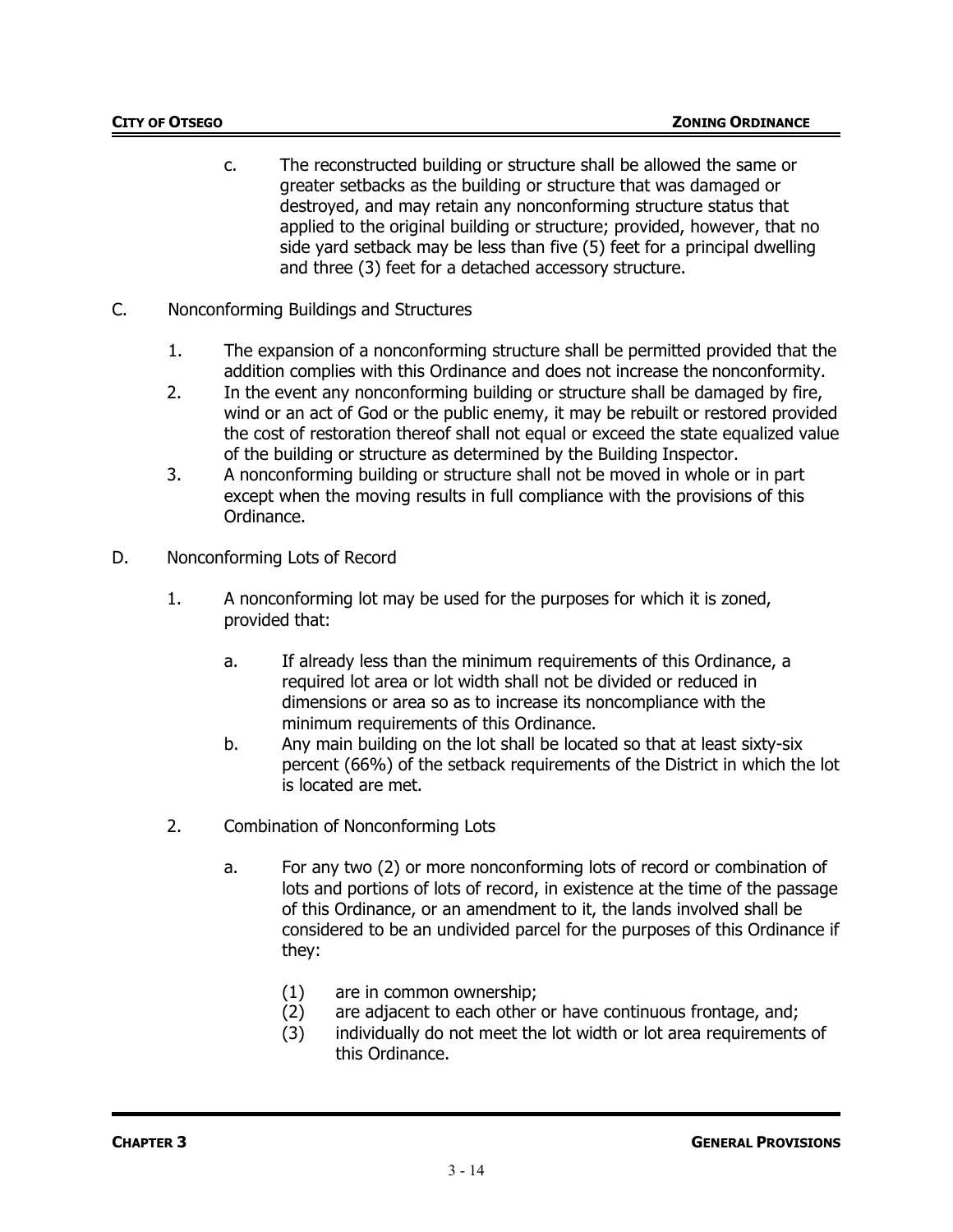- c. The reconstructed building or structure shall be allowed the same or greater setbacks as the building or structure that was damaged or destroyed, and may retain any nonconforming structure status that applied to the original building or structure; provided, however, that no side yard setback may be less than five (5) feet for a principal dwelling and three (3) feet for a detached accessory structure.
- C. Nonconforming Buildings and Structures
	- 1. The expansion of a nonconforming structure shall be permitted provided that the addition complies with this Ordinance and does not increase the nonconformity.
	- 2. In the event any nonconforming building or structure shall be damaged by fire, wind or an act of God or the public enemy, it may be rebuilt or restored provided the cost of restoration thereof shall not equal or exceed the state equalized value of the building or structure as determined by the Building Inspector.
	- 3. A nonconforming building or structure shall not be moved in whole or in part except when the moving results in full compliance with the provisions of this Ordinance.
- D. Nonconforming Lots of Record
	- 1. A nonconforming lot may be used for the purposes for which it is zoned, provided that:
		- a. If already less than the minimum requirements of this Ordinance, a required lot area or lot width shall not be divided or reduced in dimensions or area so as to increase its noncompliance with the minimum requirements of this Ordinance.
		- b. Any main building on the lot shall be located so that at least sixty-six percent (66%) of the setback requirements of the District in which the lot is located are met.
	- 2. Combination of Nonconforming Lots
		- a. For any two (2) or more nonconforming lots of record or combination of lots and portions of lots of record, in existence at the time of the passage of this Ordinance, or an amendment to it, the lands involved shall be considered to be an undivided parcel for the purposes of this Ordinance if they:
			- (1) are in common ownership;
			- (2) are adjacent to each other or have continuous frontage, and;
			- (3) individually do not meet the lot width or lot area requirements of this Ordinance.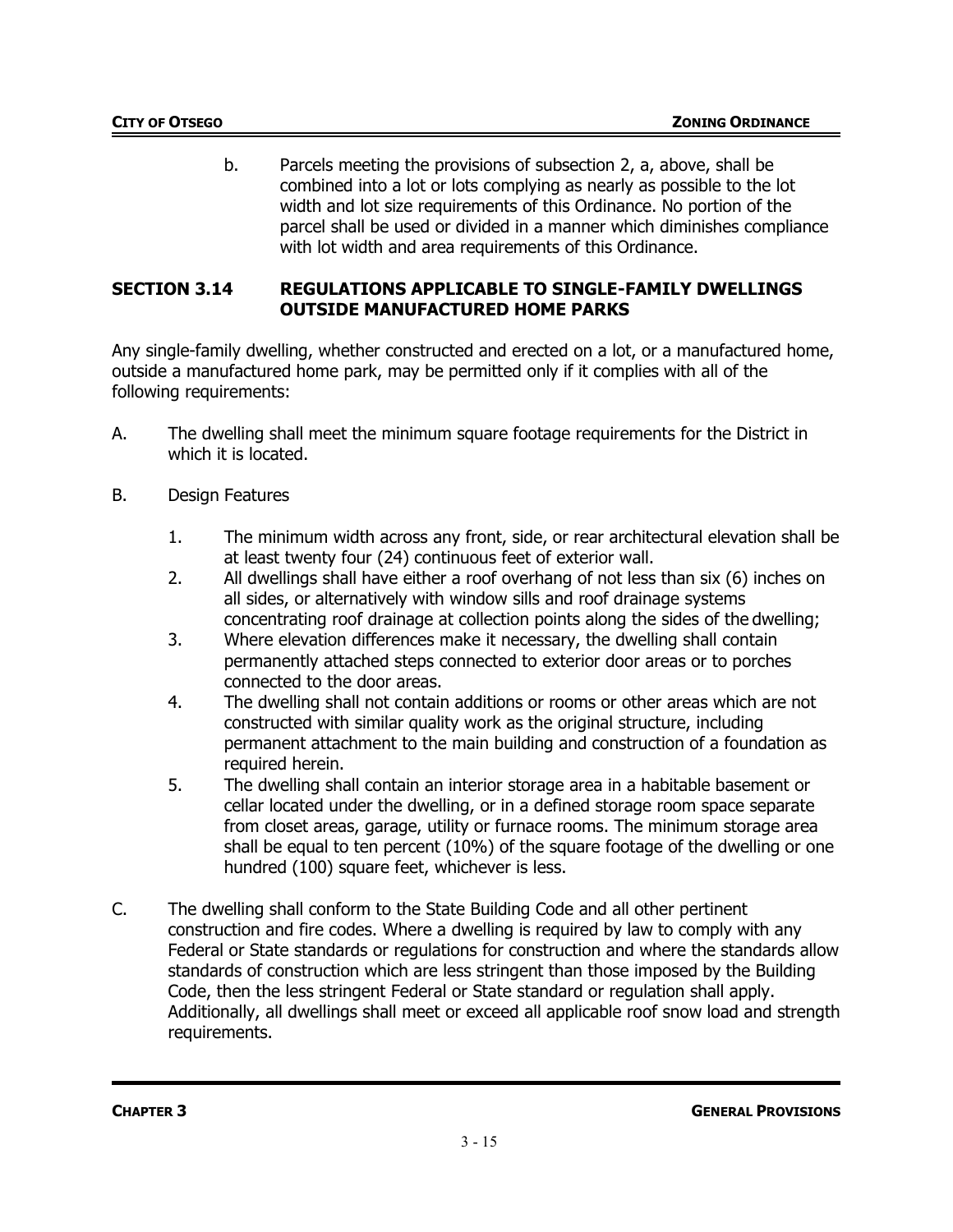b. Parcels meeting the provisions of subsection 2, a, above, shall be combined into a lot or lots complying as nearly as possible to the lot width and lot size requirements of this Ordinance. No portion of the parcel shall be used or divided in a manner which diminishes compliance with lot width and area requirements of this Ordinance.

### **SECTION 3.14 REGULATIONS APPLICABLE TO SINGLE-FAMILY DWELLINGS OUTSIDE MANUFACTURED HOME PARKS**

Any single-family dwelling, whether constructed and erected on a lot, or a manufactured home, outside a manufactured home park, may be permitted only if it complies with all of the following requirements:

- A. The dwelling shall meet the minimum square footage requirements for the District in which it is located.
- B. Design Features
	- 1. The minimum width across any front, side, or rear architectural elevation shall be at least twenty four (24) continuous feet of exterior wall.
	- 2. All dwellings shall have either a roof overhang of not less than six (6) inches on all sides, or alternatively with window sills and roof drainage systems concentrating roof drainage at collection points along the sides of the dwelling;
	- 3. Where elevation differences make it necessary, the dwelling shall contain permanently attached steps connected to exterior door areas or to porches connected to the door areas.
	- 4. The dwelling shall not contain additions or rooms or other areas which are not constructed with similar quality work as the original structure, including permanent attachment to the main building and construction of a foundation as required herein.
	- 5. The dwelling shall contain an interior storage area in a habitable basement or cellar located under the dwelling, or in a defined storage room space separate from closet areas, garage, utility or furnace rooms. The minimum storage area shall be equal to ten percent (10%) of the square footage of the dwelling or one hundred (100) square feet, whichever is less.
- C. The dwelling shall conform to the State Building Code and all other pertinent construction and fire codes. Where a dwelling is required by law to comply with any Federal or State standards or regulations for construction and where the standards allow standards of construction which are less stringent than those imposed by the Building Code, then the less stringent Federal or State standard or regulation shall apply. Additionally, all dwellings shall meet or exceed all applicable roof snow load and strength requirements.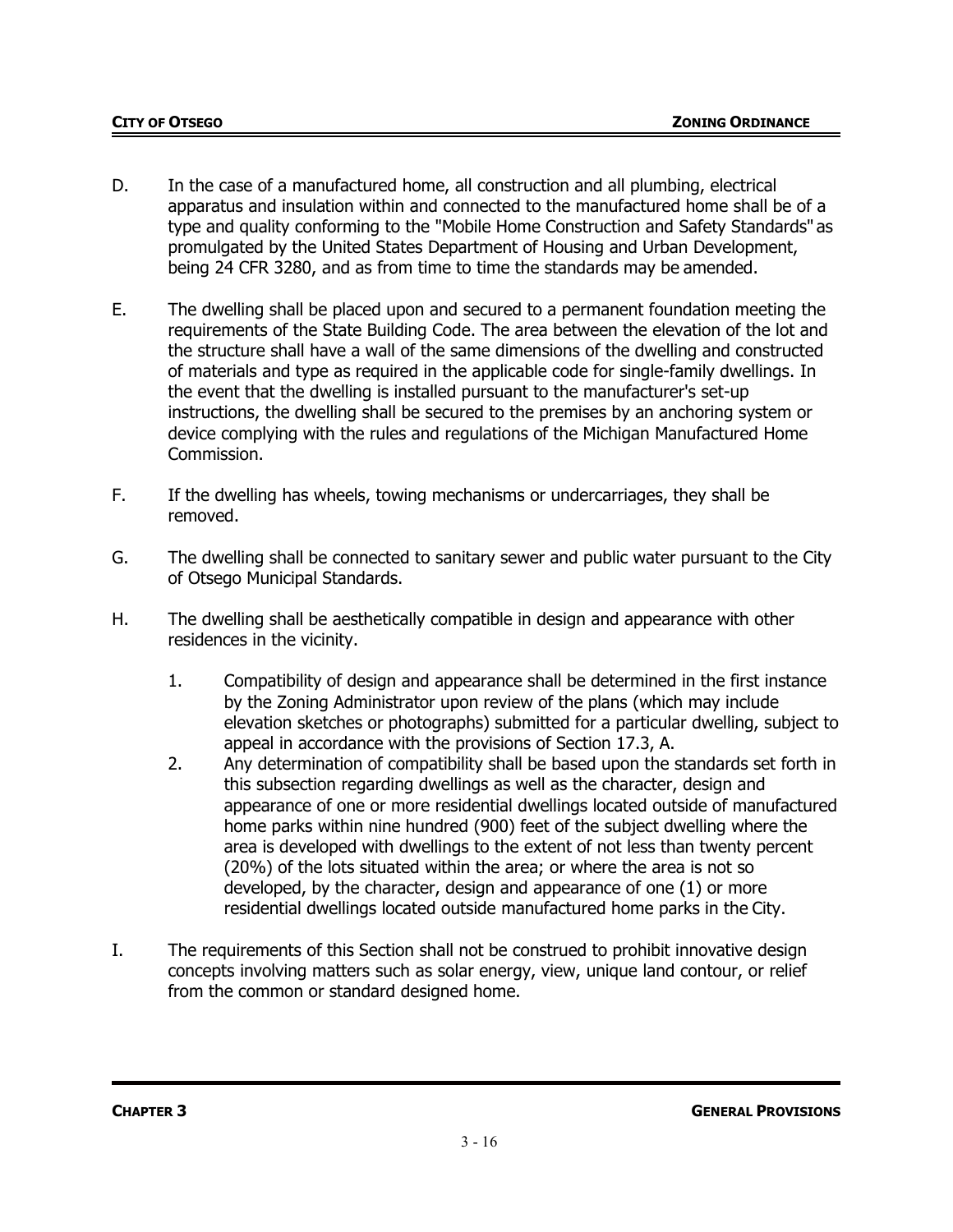- D. In the case of a manufactured home, all construction and all plumbing, electrical apparatus and insulation within and connected to the manufactured home shall be of a type and quality conforming to the "Mobile Home Construction and Safety Standards" as promulgated by the United States Department of Housing and Urban Development, being 24 CFR 3280, and as from time to time the standards may be amended.
- E. The dwelling shall be placed upon and secured to a permanent foundation meeting the requirements of the State Building Code. The area between the elevation of the lot and the structure shall have a wall of the same dimensions of the dwelling and constructed of materials and type as required in the applicable code for single-family dwellings. In the event that the dwelling is installed pursuant to the manufacturer's set-up instructions, the dwelling shall be secured to the premises by an anchoring system or device complying with the rules and regulations of the Michigan Manufactured Home Commission.
- F. If the dwelling has wheels, towing mechanisms or undercarriages, they shall be removed.
- G. The dwelling shall be connected to sanitary sewer and public water pursuant to the City of Otsego Municipal Standards.
- H. The dwelling shall be aesthetically compatible in design and appearance with other residences in the vicinity.
	- 1. Compatibility of design and appearance shall be determined in the first instance by the Zoning Administrator upon review of the plans (which may include elevation sketches or photographs) submitted for a particular dwelling, subject to appeal in accordance with the provisions of Section 17.3, A.
	- 2. Any determination of compatibility shall be based upon the standards set forth in this subsection regarding dwellings as well as the character, design and appearance of one or more residential dwellings located outside of manufactured home parks within nine hundred (900) feet of the subject dwelling where the area is developed with dwellings to the extent of not less than twenty percent (20%) of the lots situated within the area; or where the area is not so developed, by the character, design and appearance of one (1) or more residential dwellings located outside manufactured home parks in the City.
- I. The requirements of this Section shall not be construed to prohibit innovative design concepts involving matters such as solar energy, view, unique land contour, or relief from the common or standard designed home.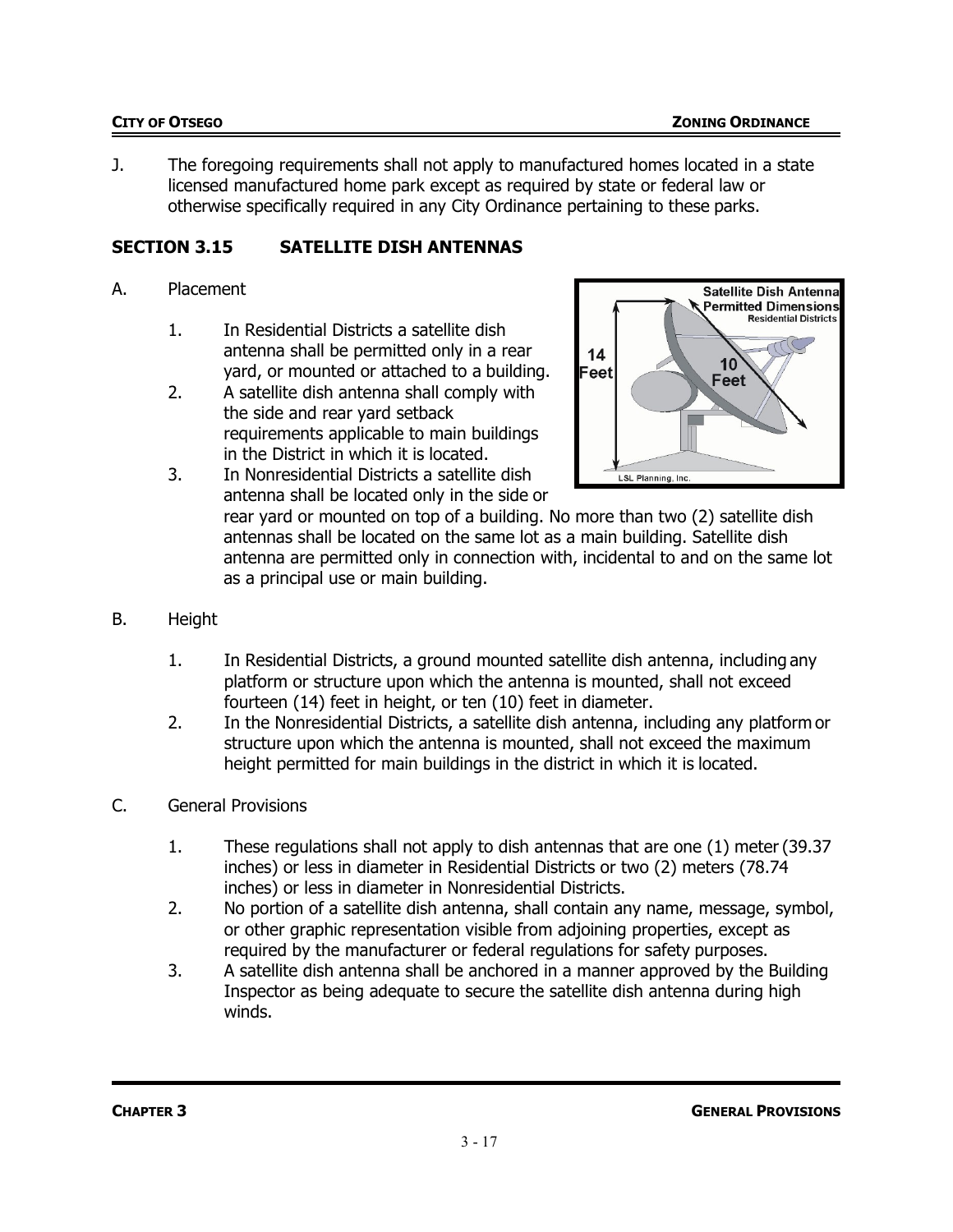J. The foregoing requirements shall not apply to manufactured homes located in a state licensed manufactured home park except as required by state or federal law or otherwise specifically required in any City Ordinance pertaining to these parks.

# **SECTION 3.15 SATELLITE DISH ANTENNAS**

### A. Placement

- 1. In Residential Districts a satellite dish antenna shall be permitted only in a rear yard, or mounted or attached to a building.
- 2. A satellite dish antenna shall comply with the side and rear yard setback requirements applicable to main buildings in the District in which it is located.



3. In Nonresidential Districts a satellite dish antenna shall be located only in the side or

rear yard or mounted on top of a building. No more than two (2) satellite dish antennas shall be located on the same lot as a main building. Satellite dish antenna are permitted only in connection with, incidental to and on the same lot as a principal use or main building.

- B. Height
	- 1. In Residential Districts, a ground mounted satellite dish antenna, including any platform or structure upon which the antenna is mounted, shall not exceed fourteen (14) feet in height, or ten (10) feet in diameter.
	- 2. In the Nonresidential Districts, a satellite dish antenna, including any platform or structure upon which the antenna is mounted, shall not exceed the maximum height permitted for main buildings in the district in which it is located.
- C. General Provisions
	- 1. These regulations shall not apply to dish antennas that are one (1) meter(39.37 inches) or less in diameter in Residential Districts or two (2) meters (78.74 inches) or less in diameter in Nonresidential Districts.
	- 2. No portion of a satellite dish antenna, shall contain any name, message, symbol, or other graphic representation visible from adjoining properties, except as required by the manufacturer or federal regulations for safety purposes.
	- 3. A satellite dish antenna shall be anchored in a manner approved by the Building Inspector as being adequate to secure the satellite dish antenna during high winds.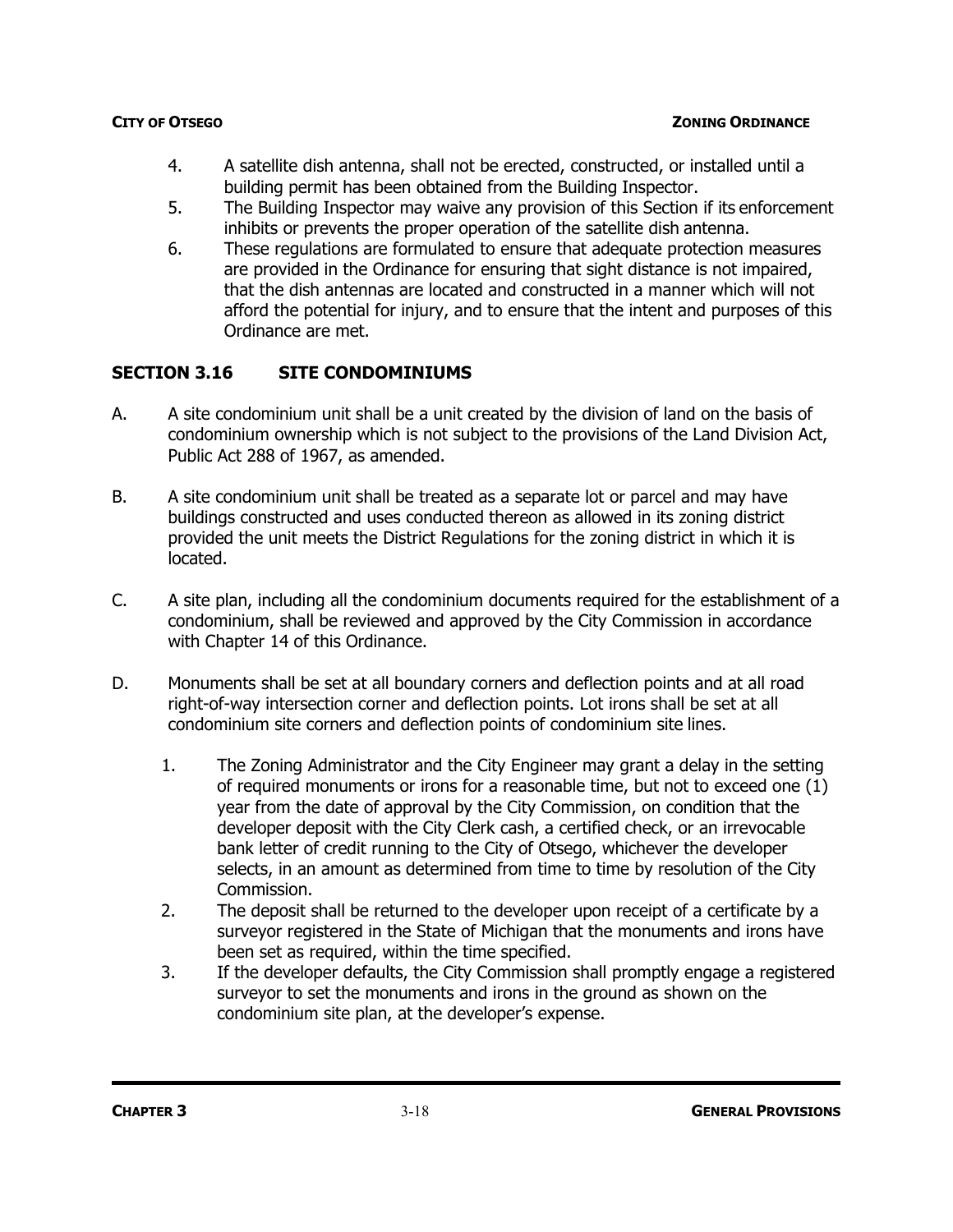- 4. A satellite dish antenna, shall not be erected, constructed, or installed until a building permit has been obtained from the Building Inspector.
- 5. The Building Inspector may waive any provision of this Section if its enforcement inhibits or prevents the proper operation of the satellite dish antenna.
- 6. These regulations are formulated to ensure that adequate protection measures are provided in the Ordinance for ensuring that sight distance is not impaired, that the dish antennas are located and constructed in a manner which will not afford the potential for injury, and to ensure that the intent and purposes of this Ordinance are met.

# **SECTION 3.16 SITE CONDOMINIUMS**

- A. A site condominium unit shall be a unit created by the division of land on the basis of condominium ownership which is not subject to the provisions of the Land Division Act, Public Act 288 of 1967, as amended.
- B. A site condominium unit shall be treated as a separate lot or parcel and may have buildings constructed and uses conducted thereon as allowed in its zoning district provided the unit meets the District Regulations for the zoning district in which it is located.
- C. A site plan, including all the condominium documents required for the establishment of a condominium, shall be reviewed and approved by the City Commission in accordance with Chapter 14 of this Ordinance.
- D. Monuments shall be set at all boundary corners and deflection points and at all road right-of-way intersection corner and deflection points. Lot irons shall be set at all condominium site corners and deflection points of condominium site lines.
	- 1. The Zoning Administrator and the City Engineer may grant a delay in the setting of required monuments or irons for a reasonable time, but not to exceed one (1) year from the date of approval by the City Commission, on condition that the developer deposit with the City Clerk cash, a certified check, or an irrevocable bank letter of credit running to the City of Otsego, whichever the developer selects, in an amount as determined from time to time by resolution of the City Commission.
	- 2. The deposit shall be returned to the developer upon receipt of a certificate by a surveyor registered in the State of Michigan that the monuments and irons have been set as required, within the time specified.
	- 3. If the developer defaults, the City Commission shall promptly engage a registered surveyor to set the monuments and irons in the ground as shown on the condominium site plan, at the developer's expense.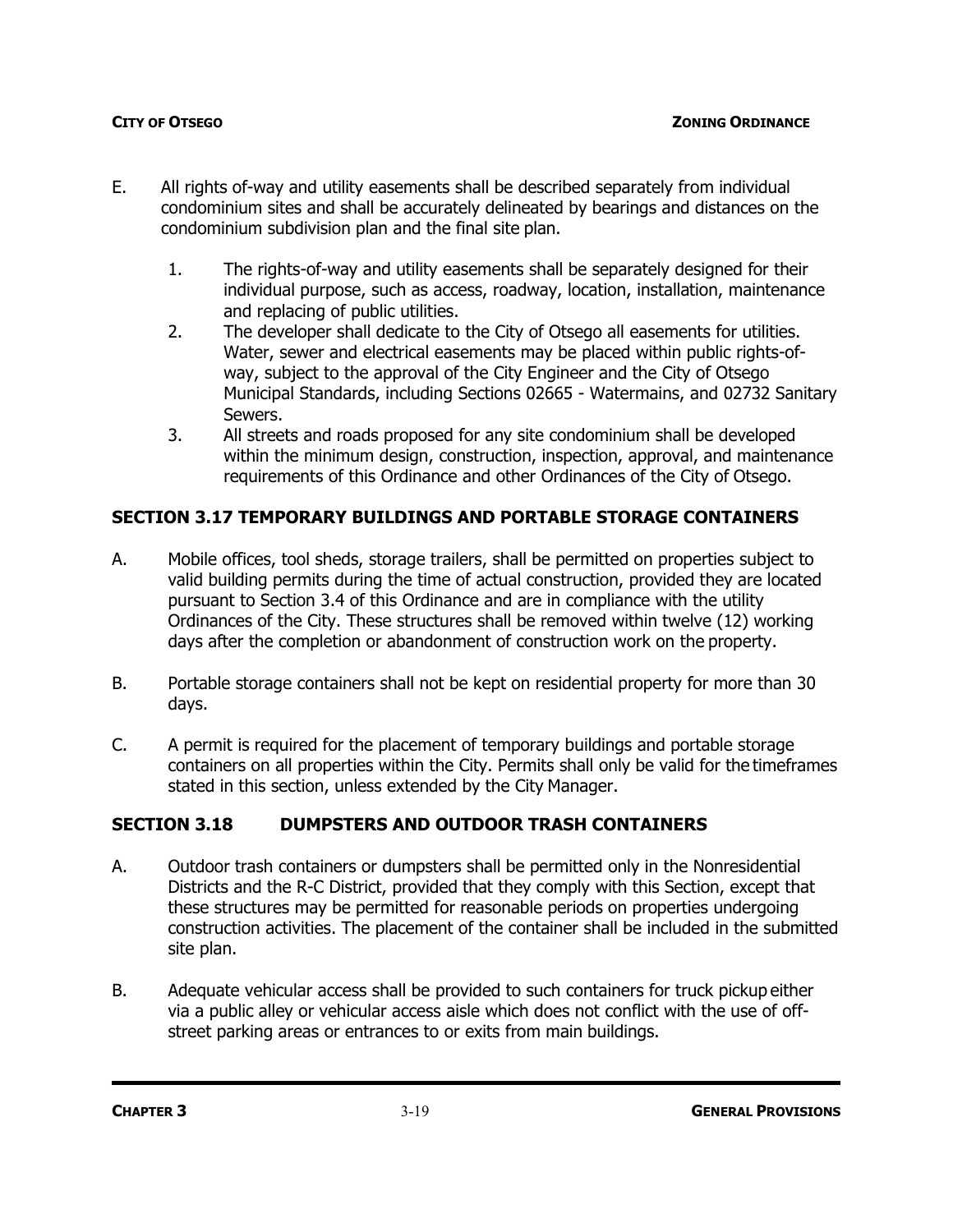- E. All rights of-way and utility easements shall be described separately from individual condominium sites and shall be accurately delineated by bearings and distances on the condominium subdivision plan and the final site plan.
	- 1. The rights-of-way and utility easements shall be separately designed for their individual purpose, such as access, roadway, location, installation, maintenance and replacing of public utilities.
	- 2. The developer shall dedicate to the City of Otsego all easements for utilities. Water, sewer and electrical easements may be placed within public rights-ofway, subject to the approval of the City Engineer and the City of Otsego Municipal Standards, including Sections 02665 - Watermains, and 02732 Sanitary Sewers.
	- 3. All streets and roads proposed for any site condominium shall be developed within the minimum design, construction, inspection, approval, and maintenance requirements of this Ordinance and other Ordinances of the City of Otsego.

### **SECTION 3.17 TEMPORARY BUILDINGS AND PORTABLE STORAGE CONTAINERS**

- A. Mobile offices, tool sheds, storage trailers, shall be permitted on properties subject to valid building permits during the time of actual construction, provided they are located pursuant to Section 3.4 of this Ordinance and are in compliance with the utility Ordinances of the City. These structures shall be removed within twelve (12) working days after the completion or abandonment of construction work on the property.
- B. Portable storage containers shall not be kept on residential property for more than 30 days.
- C. A permit is required for the placement of temporary buildings and portable storage containers on all properties within the City. Permits shall only be valid for the timeframes stated in this section, unless extended by the City Manager.

### **SECTION 3.18 DUMPSTERS AND OUTDOOR TRASH CONTAINERS**

- A. Outdoor trash containers or dumpsters shall be permitted only in the Nonresidential Districts and the R-C District, provided that they comply with this Section, except that these structures may be permitted for reasonable periods on properties undergoing construction activities. The placement of the container shall be included in the submitted site plan.
- B. Adequate vehicular access shall be provided to such containers for truck pickup either via a public alley or vehicular access aisle which does not conflict with the use of offstreet parking areas or entrances to or exits from main buildings.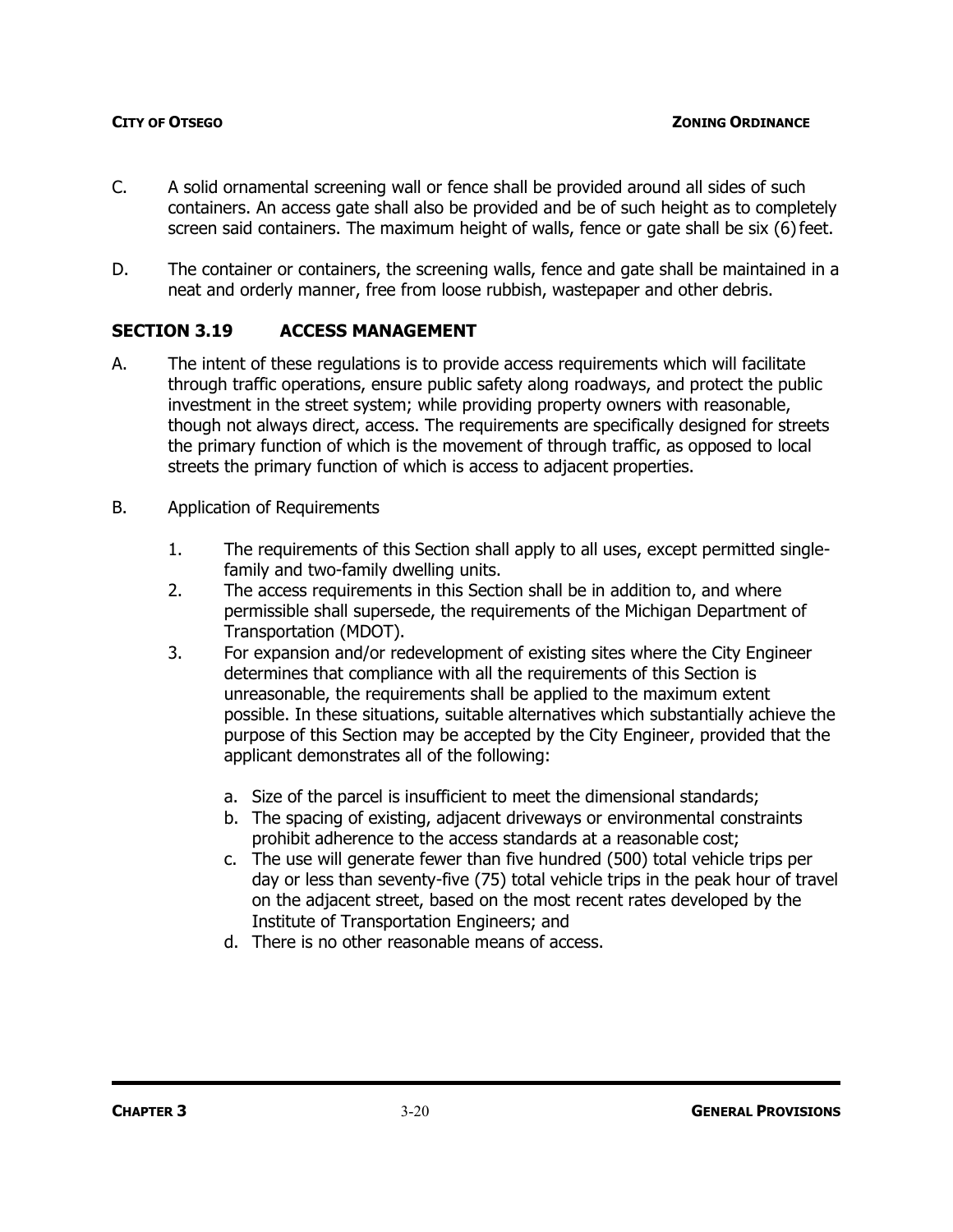- C. A solid ornamental screening wall or fence shall be provided around all sides of such containers. An access gate shall also be provided and be of such height as to completely screen said containers. The maximum height of walls, fence or gate shall be six (6) feet.
- D. The container or containers, the screening walls, fence and gate shall be maintained in a neat and orderly manner, free from loose rubbish, wastepaper and other debris.

### **SECTION 3.19 ACCESS MANAGEMENT**

- A. The intent of these regulations is to provide access requirements which will facilitate through traffic operations, ensure public safety along roadways, and protect the public investment in the street system; while providing property owners with reasonable, though not always direct, access. The requirements are specifically designed for streets the primary function of which is the movement of through traffic, as opposed to local streets the primary function of which is access to adjacent properties.
- B. Application of Requirements
	- 1. The requirements of this Section shall apply to all uses, except permitted singlefamily and two-family dwelling units.
	- 2. The access requirements in this Section shall be in addition to, and where permissible shall supersede, the requirements of the Michigan Department of Transportation (MDOT).
	- 3. For expansion and/or redevelopment of existing sites where the City Engineer determines that compliance with all the requirements of this Section is unreasonable, the requirements shall be applied to the maximum extent possible. In these situations, suitable alternatives which substantially achieve the purpose of this Section may be accepted by the City Engineer, provided that the applicant demonstrates all of the following:
		- a. Size of the parcel is insufficient to meet the dimensional standards;
		- b. The spacing of existing, adjacent driveways or environmental constraints prohibit adherence to the access standards at a reasonable cost;
		- c. The use will generate fewer than five hundred (500) total vehicle trips per day or less than seventy-five (75) total vehicle trips in the peak hour of travel on the adjacent street, based on the most recent rates developed by the Institute of Transportation Engineers; and
		- d. There is no other reasonable means of access.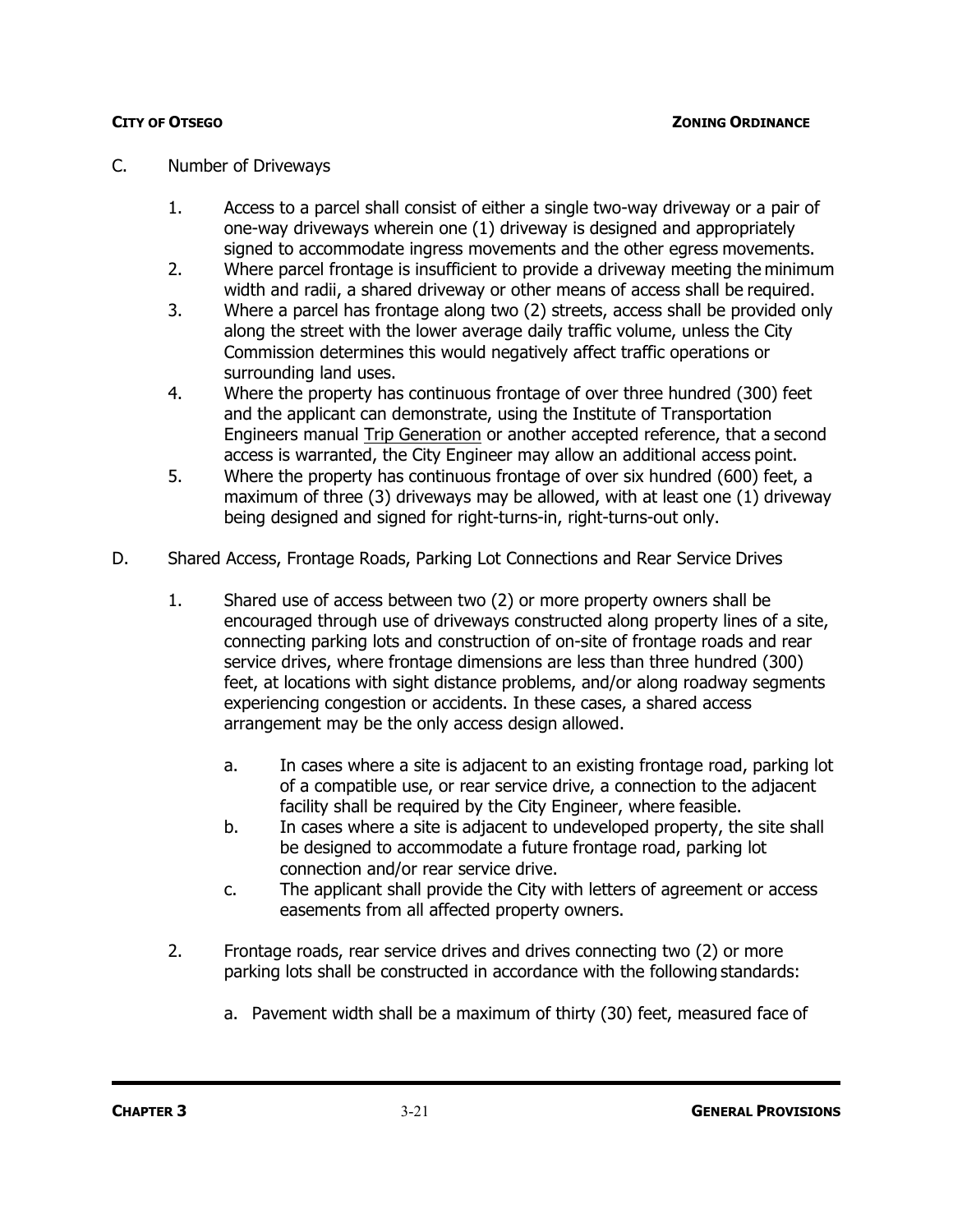### C. Number of Driveways

- 1. Access to a parcel shall consist of either a single two-way driveway or a pair of one-way driveways wherein one (1) driveway is designed and appropriately signed to accommodate ingress movements and the other egress movements.
- 2. Where parcel frontage is insufficient to provide a driveway meeting the minimum width and radii, a shared driveway or other means of access shall be required.
- 3. Where a parcel has frontage along two (2) streets, access shall be provided only along the street with the lower average daily traffic volume, unless the City Commission determines this would negatively affect traffic operations or surrounding land uses.
- 4. Where the property has continuous frontage of over three hundred (300) feet and the applicant can demonstrate, using the Institute of Transportation Engineers manual Trip Generation or another accepted reference, that a second access is warranted, the City Engineer may allow an additional access point.
- 5. Where the property has continuous frontage of over six hundred (600) feet, a maximum of three (3) driveways may be allowed, with at least one (1) driveway being designed and signed for right-turns-in, right-turns-out only.
- D. Shared Access, Frontage Roads, Parking Lot Connections and Rear Service Drives
	- 1. Shared use of access between two (2) or more property owners shall be encouraged through use of driveways constructed along property lines of a site, connecting parking lots and construction of on-site of frontage roads and rear service drives, where frontage dimensions are less than three hundred (300) feet, at locations with sight distance problems, and/or along roadway segments experiencing congestion or accidents. In these cases, a shared access arrangement may be the only access design allowed.
		- a. In cases where a site is adjacent to an existing frontage road, parking lot of a compatible use, or rear service drive, a connection to the adjacent facility shall be required by the City Engineer, where feasible.
		- b. In cases where a site is adjacent to undeveloped property, the site shall be designed to accommodate a future frontage road, parking lot connection and/or rear service drive.
		- c. The applicant shall provide the City with letters of agreement or access easements from all affected property owners.
	- 2. Frontage roads, rear service drives and drives connecting two (2) or more parking lots shall be constructed in accordance with the following standards:
		- a. Pavement width shall be a maximum of thirty (30) feet, measured face of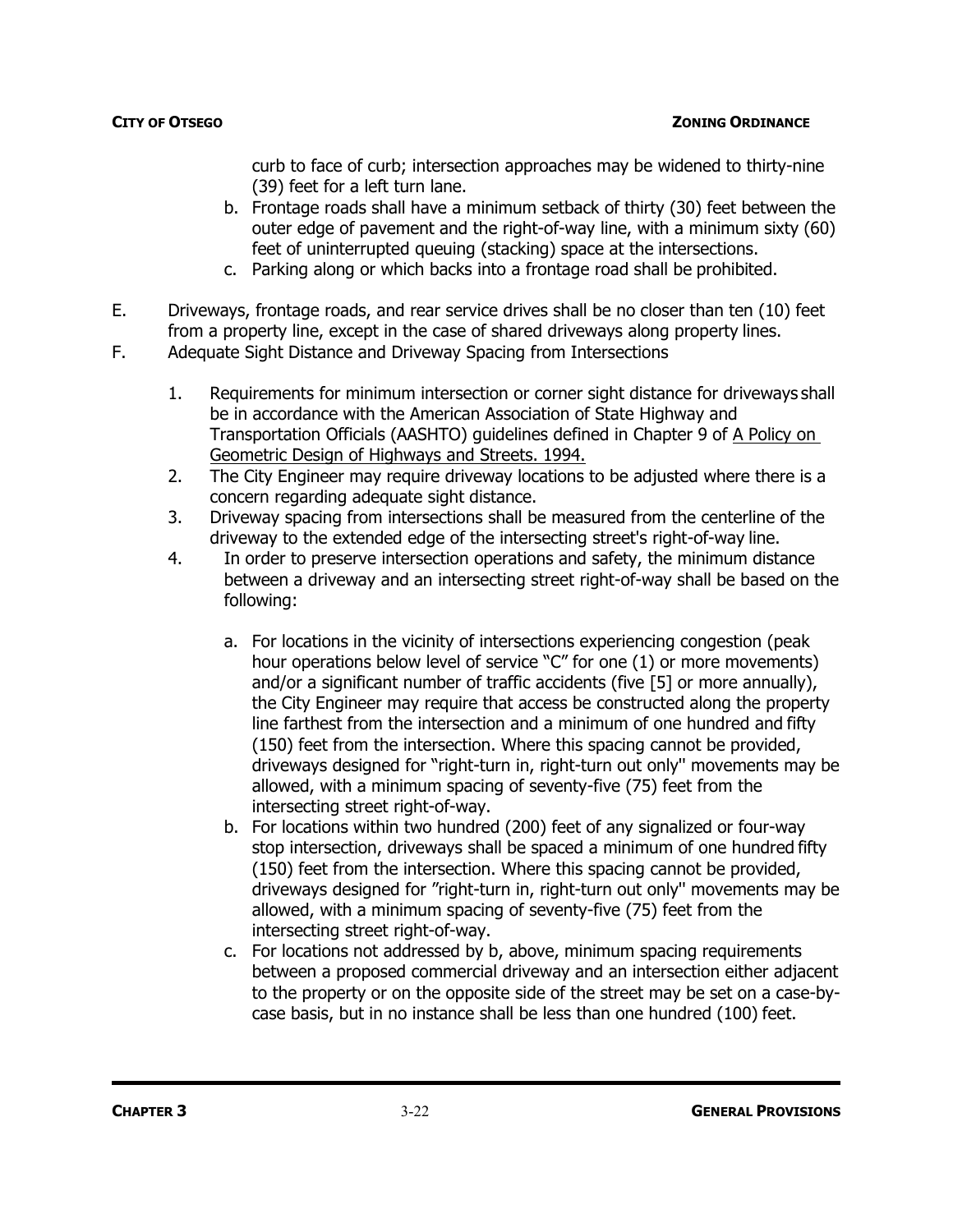curb to face of curb; intersection approaches may be widened to thirty-nine (39) feet for a left turn lane.

- b. Frontage roads shall have a minimum setback of thirty (30) feet between the outer edge of pavement and the right-of-way line, with a minimum sixty (60) feet of uninterrupted queuing (stacking) space at the intersections.
- c. Parking along or which backs into a frontage road shall be prohibited.
- E. Driveways, frontage roads, and rear service drives shall be no closer than ten (10) feet from a property line, except in the case of shared driveways along property lines.
- F. Adequate Sight Distance and Driveway Spacing from Intersections
	- 1. Requirements for minimum intersection or corner sight distance for driveways shall be in accordance with the American Association of State Highway and Transportation Officials (AASHTO) guidelines defined in Chapter 9 of A Policy on Geometric Design of Highways and Streets. 1994.
	- 2. The City Engineer may require driveway locations to be adjusted where there is a concern regarding adequate sight distance.
	- 3. Driveway spacing from intersections shall be measured from the centerline of the driveway to the extended edge of the intersecting street's right-of-way line.
	- 4. In order to preserve intersection operations and safety, the minimum distance between a driveway and an intersecting street right-of-way shall be based on the following:
		- a. For locations in the vicinity of intersections experiencing congestion (peak hour operations below level of service "C" for one (1) or more movements) and/or a significant number of traffic accidents (five [5] or more annually), the City Engineer may require that access be constructed along the property line farthest from the intersection and a minimum of one hundred and fifty (150) feet from the intersection. Where this spacing cannot be provided, driveways designed for "right-turn in, right-turn out only'' movements may be allowed, with a minimum spacing of seventy-five (75) feet from the intersecting street right-of-way.
		- b. For locations within two hundred (200) feet of any signalized or four-way stop intersection, driveways shall be spaced a minimum of one hundred fifty (150) feet from the intersection. Where this spacing cannot be provided, driveways designed for "right-turn in, right-turn out only'' movements may be allowed, with a minimum spacing of seventy-five (75) feet from the intersecting street right-of-way.
		- c. For locations not addressed by b, above, minimum spacing requirements between a proposed commercial driveway and an intersection either adjacent to the property or on the opposite side of the street may be set on a case-bycase basis, but in no instance shall be less than one hundred (100) feet.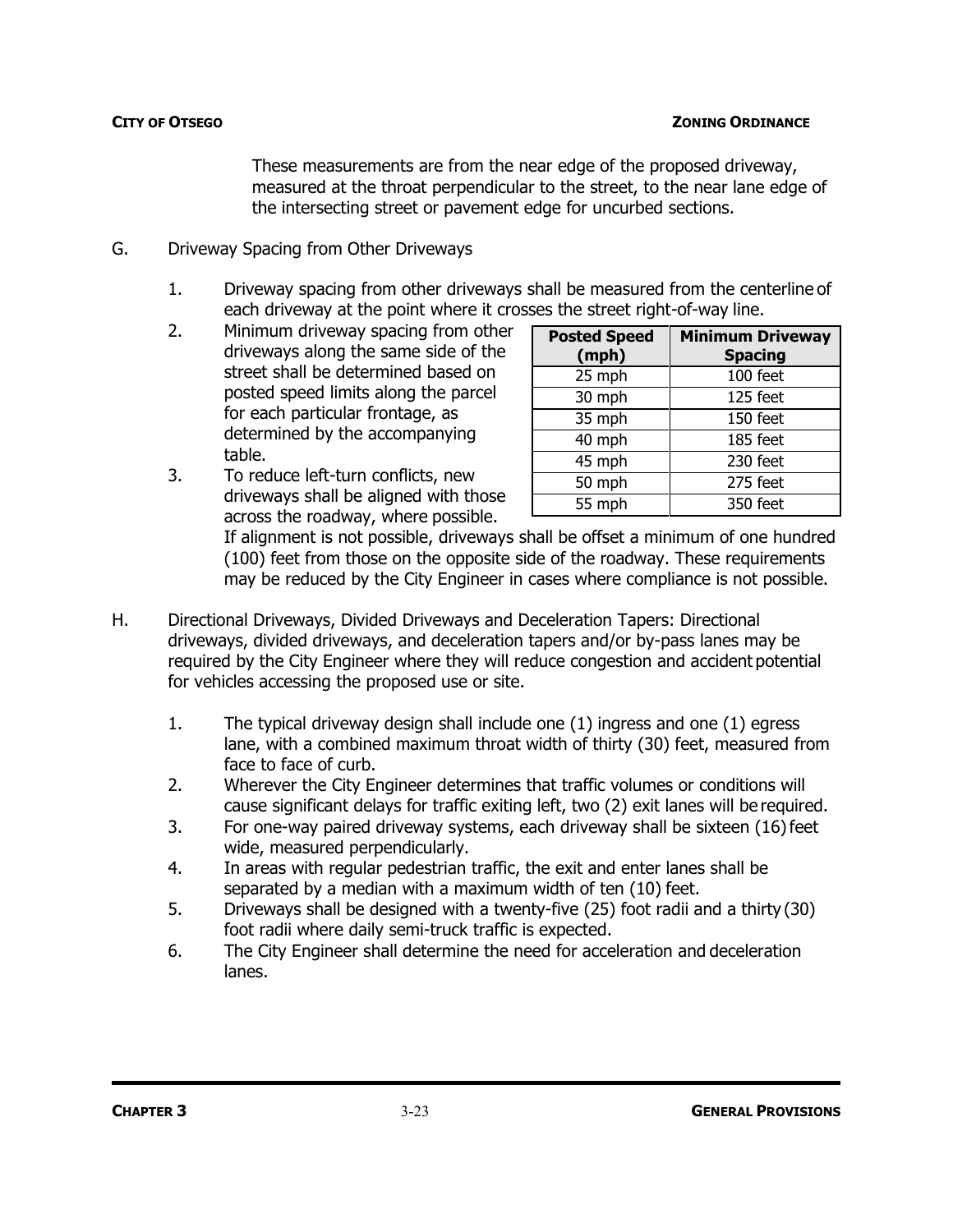### **CITY OF OTSEGO ZONING ORDINANCE**

These measurements are from the near edge of the proposed driveway, measured at the throat perpendicular to the street, to the near lane edge of the intersecting street or pavement edge for uncurbed sections.

- G. Driveway Spacing from Other Driveways
	- 1. Driveway spacing from other driveways shall be measured from the centerline of each driveway at the point where it crosses the street right-of-way line.
	- 2. Minimum driveway spacing from other driveways along the same side of the street shall be determined based on posted speed limits along the parcel for each particular frontage, as determined by the accompanying table.
	- 3. To reduce left-turn conflicts, new driveways shall be aligned with those across the roadway, where possible.

| <b>Posted Speed</b><br>(mph) | <b>Minimum Driveway</b><br><b>Spacing</b> |
|------------------------------|-------------------------------------------|
| 25 mph                       | 100 feet                                  |
| 30 mph                       | 125 feet                                  |
| 35 mph                       | 150 feet                                  |
| 40 mph                       | 185 feet                                  |
| 45 mph                       | 230 feet                                  |
| 50 mph                       | 275 feet                                  |
| 55 mph                       | 350 feet                                  |

If alignment is not possible, driveways shall be offset a minimum of one hundred (100) feet from those on the opposite side of the roadway. These requirements may be reduced by the City Engineer in cases where compliance is not possible.

- H. Directional Driveways, Divided Driveways and Deceleration Tapers: Directional driveways, divided driveways, and deceleration tapers and/or by-pass lanes may be required by the City Engineer where they will reduce congestion and accident potential for vehicles accessing the proposed use or site.
	- 1. The typical driveway design shall include one (1) ingress and one (1) egress lane, with a combined maximum throat width of thirty (30) feet, measured from face to face of curb.
	- 2. Wherever the City Engineer determines that traffic volumes or conditions will cause significant delays for traffic exiting left, two (2) exit lanes will be required.
	- 3. For one-way paired driveway systems, each driveway shall be sixteen (16)feet wide, measured perpendicularly.
	- 4. In areas with regular pedestrian traffic, the exit and enter lanes shall be separated by a median with a maximum width of ten (10) feet.
	- 5. Driveways shall be designed with a twenty-five (25) foot radii and a thirty (30) foot radii where daily semi-truck traffic is expected.
	- 6. The City Engineer shall determine the need for acceleration and deceleration lanes.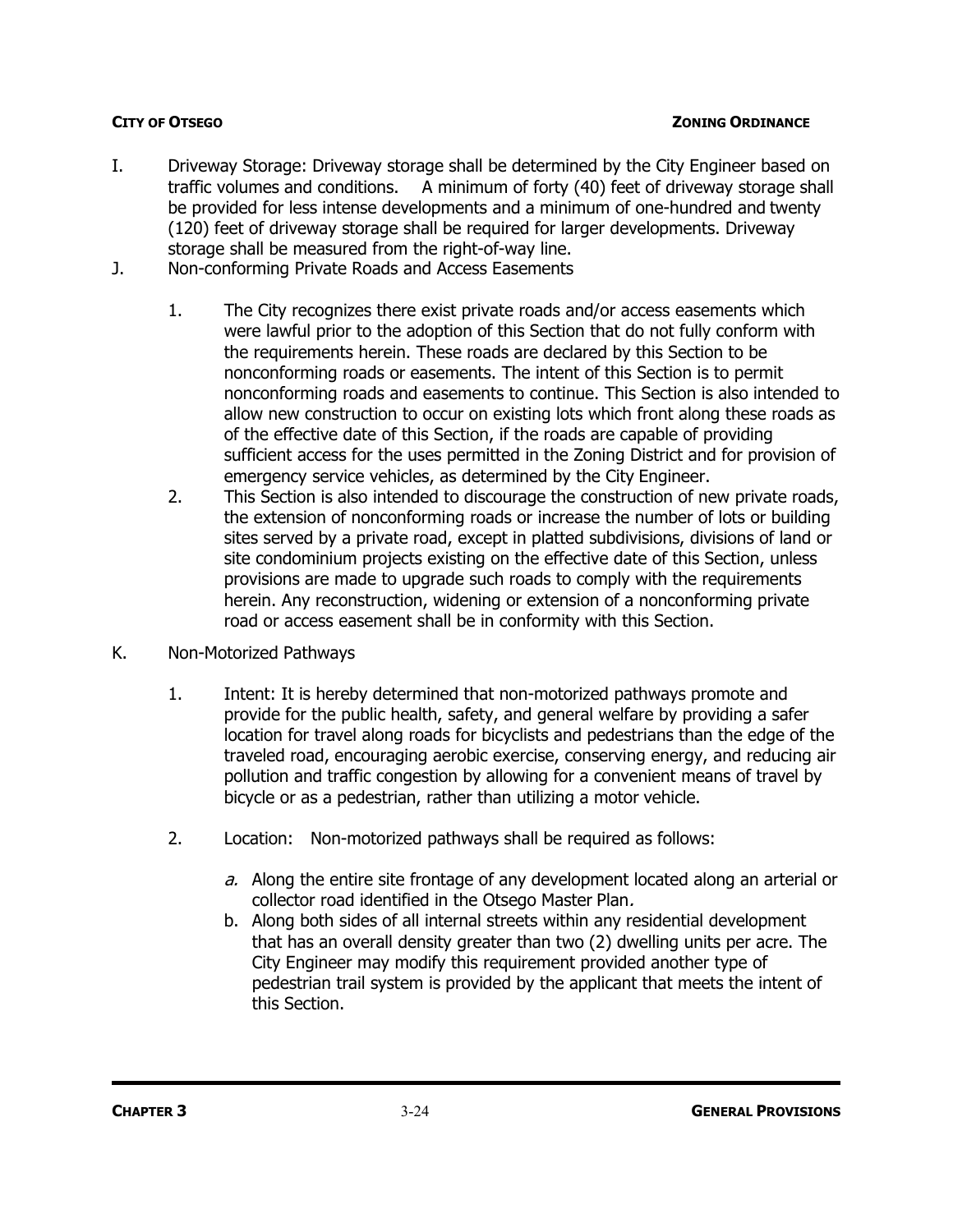- I. Driveway Storage: Driveway storage shall be determined by the City Engineer based on traffic volumes and conditions. A minimum of forty (40) feet of driveway storage shall be provided for less intense developments and a minimum of one-hundred and twenty (120) feet of driveway storage shall be required for larger developments. Driveway storage shall be measured from the right-of-way line.
- J. Non-conforming Private Roads and Access Easements
	- 1. The City recognizes there exist private roads and/or access easements which were lawful prior to the adoption of this Section that do not fully conform with the requirements herein. These roads are declared by this Section to be nonconforming roads or easements. The intent of this Section is to permit nonconforming roads and easements to continue. This Section is also intended to allow new construction to occur on existing lots which front along these roads as of the effective date of this Section, if the roads are capable of providing sufficient access for the uses permitted in the Zoning District and for provision of emergency service vehicles, as determined by the City Engineer.
	- 2. This Section is also intended to discourage the construction of new private roads, the extension of nonconforming roads or increase the number of lots or building sites served by a private road, except in platted subdivisions, divisions of land or site condominium projects existing on the effective date of this Section, unless provisions are made to upgrade such roads to comply with the requirements herein. Any reconstruction, widening or extension of a nonconforming private road or access easement shall be in conformity with this Section.
- K. Non-Motorized Pathways
	- 1. Intent: It is hereby determined that non-motorized pathways promote and provide for the public health, safety, and general welfare by providing a safer location for travel along roads for bicyclists and pedestrians than the edge of the traveled road, encouraging aerobic exercise, conserving energy, and reducing air pollution and traffic congestion by allowing for a convenient means of travel by bicycle or as a pedestrian, rather than utilizing a motor vehicle.
	- 2. Location: Non-motorized pathways shall be required as follows:
		- a. Along the entire site frontage of any development located along an arterial or collector road identified in the Otsego Master Plan.
		- b. Along both sides of all internal streets within any residential development that has an overall density greater than two (2) dwelling units per acre. The City Engineer may modify this requirement provided another type of pedestrian trail system is provided by the applicant that meets the intent of this Section.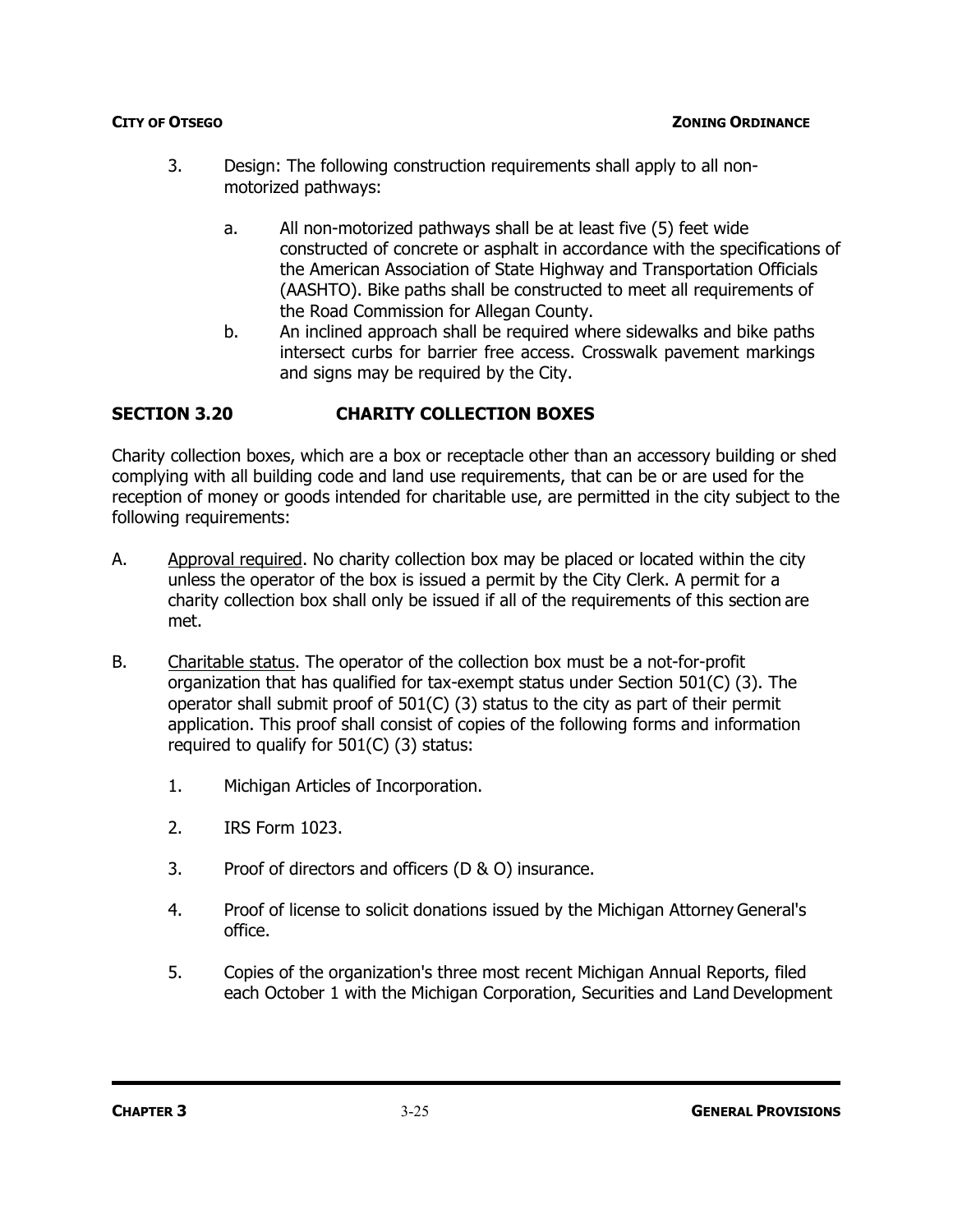- 3. Design: The following construction requirements shall apply to all nonmotorized pathways:
	- a. All non-motorized pathways shall be at least five (5) feet wide constructed of concrete or asphalt in accordance with the specifications of the American Association of State Highway and Transportation Officials (AASHTO). Bike paths shall be constructed to meet all requirements of the Road Commission for Allegan County.
	- b. An inclined approach shall be required where sidewalks and bike paths intersect curbs for barrier free access. Crosswalk pavement markings and signs may be required by the City.

# **SECTION 3.20 CHARITY COLLECTION BOXES**

Charity collection boxes, which are a box or receptacle other than an accessory building or shed complying with all building code and land use requirements, that can be or are used for the reception of money or goods intended for charitable use, are permitted in the city subject to the following requirements:

- A. Approval required. No charity collection box may be placed or located within the city unless the operator of the box is issued a permit by the City Clerk. A permit for a charity collection box shall only be issued if all of the requirements of this section are met.
- B. Charitable status. The operator of the collection box must be a not-for-profit organization that has qualified for tax-exempt status under Section 501(C) (3). The operator shall submit proof of 501(C) (3) status to the city as part of their permit application. This proof shall consist of copies of the following forms and information required to qualify for 501(C) (3) status:
	- 1. Michigan Articles of Incorporation.
	- 2. IRS Form 1023.
	- 3. Proof of directors and officers (D & O) insurance.
	- 4. Proof of license to solicit donations issued by the Michigan Attorney General's office.
	- 5. Copies of the organization's three most recent Michigan Annual Reports, filed each October 1 with the Michigan Corporation, Securities and Land Development